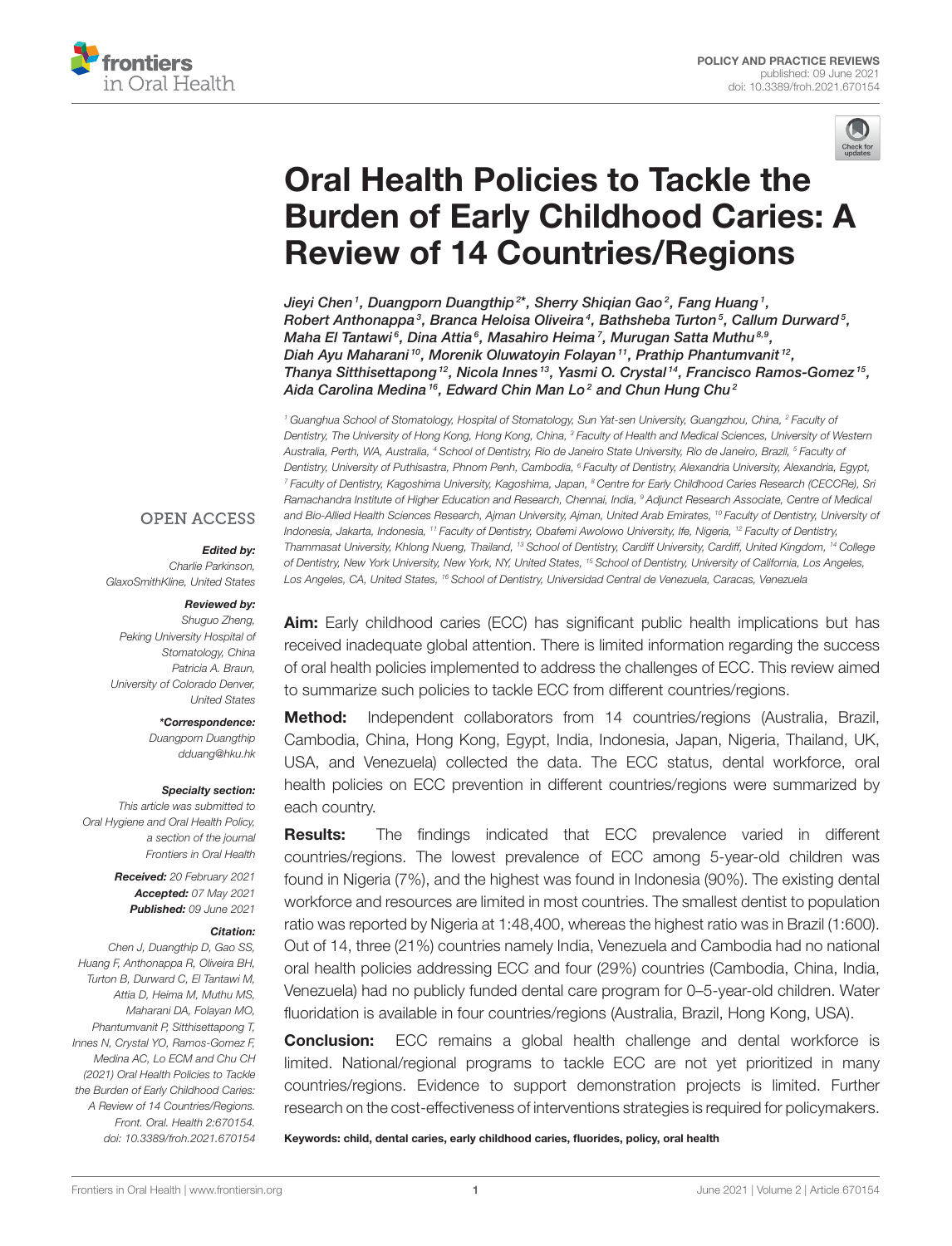



# Oral Health Policies to Tackle the [Burden of Early Childhood Caries: A](https://www.frontiersin.org/articles/10.3389/froh.2021.670154/full) Review of 14 Countries/Regions

Jieyi Chen<sup>1</sup>, Duangporn Duangthip<sup>2\*</sup>, Sherry Shiqian Gao<sup>2</sup>, Fang Huang<sup>1</sup>, Robert Anthonappa $^3$ , Branca Heloisa Oliveira $^4$ , Bathsheba Turton $^5$ , Callum Durward $^5$ , Maha El Tantawi $^{\mathfrak{g}},$  Dina Attia $^{\mathfrak{g}},$  Masahiro Heima $^{\mathfrak{g}},$  Murugan Satta Muthu $^{8,9},$ Diah Ayu Maharani <sup>10</sup>, Morenik Oluwatoyin Folayan <sup>11</sup>, Prathip Phantumvanit <sup>12</sup>, Thanya Sitthisettapong <sup>12</sup>, Nicola Innes <sup>13</sup>, Yasmi O. Crystal <sup>14</sup>, Francisco Ramos-Gomez <sup>15</sup>, Aida Carolina Medina<sup>16</sup>, Edward Chin Man Lo<sup>2</sup> and Chun Hung Chu<sup>2</sup>

*<sup>1</sup> Guanghua School of Stomatology, Hospital of Stomatology, Sun Yat-sen University, Guangzhou, China, <sup>2</sup> Faculty of Dentistry, The University of Hong Kong, Hong Kong, China, <sup>3</sup> Faculty of Health and Medical Sciences, University of Western Australia, Perth, WA, Australia, <sup>4</sup> School of Dentistry, Rio de Janeiro State University, Rio de Janeiro, Brazil, <sup>5</sup> Faculty of Dentistry, University of Puthisastra, Phnom Penh, Cambodia, <sup>6</sup> Faculty of Dentistry, Alexandria University, Alexandria, Egypt, <sup>7</sup> Faculty of Dentistry, Kagoshima University, Kagoshima, Japan, <sup>8</sup> Centre for Early Childhood Caries Research (CECCRe), Sri Ramachandra Institute of Higher Education and Research, Chennai, India, <sup>9</sup> Adjunct Research Associate, Centre of Medical and Bio-Allied Health Sciences Research, Ajman University, Ajman, United Arab Emirates, <sup>10</sup> Faculty of Dentistry, University of Indonesia, Jakarta, Indonesia, <sup>11</sup> Faculty of Dentistry, Obafemi Awolowo University, Ife, Nigeria, <sup>12</sup> Faculty of Dentistry, Thammasat University, Khlong Nueng, Thailand, <sup>13</sup> School of Dentistry, Cardiff University, Cardiff, United Kingdom, <sup>14</sup> College of Dentistry, New York University, New York, NY, United States, <sup>15</sup> School of Dentistry, University of California, Los Angeles, Los Angeles, CA, United States, <sup>16</sup> School of Dentistry, Universidad Central de Venezuela, Caracas, Venezuela*

# **OPEN ACCESS**

#### Edited by:

*Charlie Parkinson, GlaxoSmithKline, United States*

#### Reviewed by:

*Shuguo Zheng, Peking University Hospital of Stomatology, China Patricia A. Braun, University of Colorado Denver, United States*

> \*Correspondence: *Duangporn Duangthip [dduang@hku.hk](mailto:dduang@hku.hk)*

#### Specialty section:

*This article was submitted to Oral Hygiene and Oral Health Policy, a section of the journal Frontiers in Oral Health*

> Received: *20 February 2021* Accepted: *07 May 2021* Published: *09 June 2021*

#### Citation:

*Chen J, Duangthip D, Gao SS, Huang F, Anthonappa R, Oliveira BH, Turton B, Durward C, El Tantawi M, Attia D, Heima M, Muthu MS, Maharani DA, Folayan MO, Phantumvanit P, Sitthisettapong T, Innes N, Crystal YO, Ramos-Gomez F, Medina AC, Lo ECM and Chu CH (2021) Oral Health Policies to Tackle the Burden of Early Childhood Caries: A Review of 14 Countries/Regions. Front. Oral. Health 2:670154. doi: [10.3389/froh.2021.670154](https://doi.org/10.3389/froh.2021.670154)* Aim: Early childhood caries (ECC) has significant public health implications but has received inadequate global attention. There is limited information regarding the success of oral health policies implemented to address the challenges of ECC. This review aimed to summarize such policies to tackle ECC from different countries/regions.

**Method:** Independent collaborators from 14 countries/regions (Australia, Brazil, Cambodia, China, Hong Kong, Egypt, India, Indonesia, Japan, Nigeria, Thailand, UK, USA, and Venezuela) collected the data. The ECC status, dental workforce, oral health policies on ECC prevention in different countries/regions were summarized by each country.

**Results:** The findings indicated that ECC prevalence varied in different countries/regions. The lowest prevalence of ECC among 5-year-old children was found in Nigeria (7%), and the highest was found in Indonesia (90%). The existing dental workforce and resources are limited in most countries. The smallest dentist to population ratio was reported by Nigeria at 1:48,400, whereas the highest ratio was in Brazil (1:600). Out of 14, three (21%) countries namely India, Venezuela and Cambodia had no national oral health policies addressing ECC and four (29%) countries (Cambodia, China, India, Venezuela) had no publicly funded dental care program for 0–5-year-old children. Water fluoridation is available in four countries/regions (Australia, Brazil, Hong Kong, USA).

**Conclusion:** ECC remains a global health challenge and dental workforce is limited. National/regional programs to tackle ECC are not yet prioritized in many countries/regions. Evidence to support demonstration projects is limited. Further research on the cost-effectiveness of interventions strategies is required for policymakers.

Keywords: child, dental caries, early childhood caries, fluorides, policy, oral health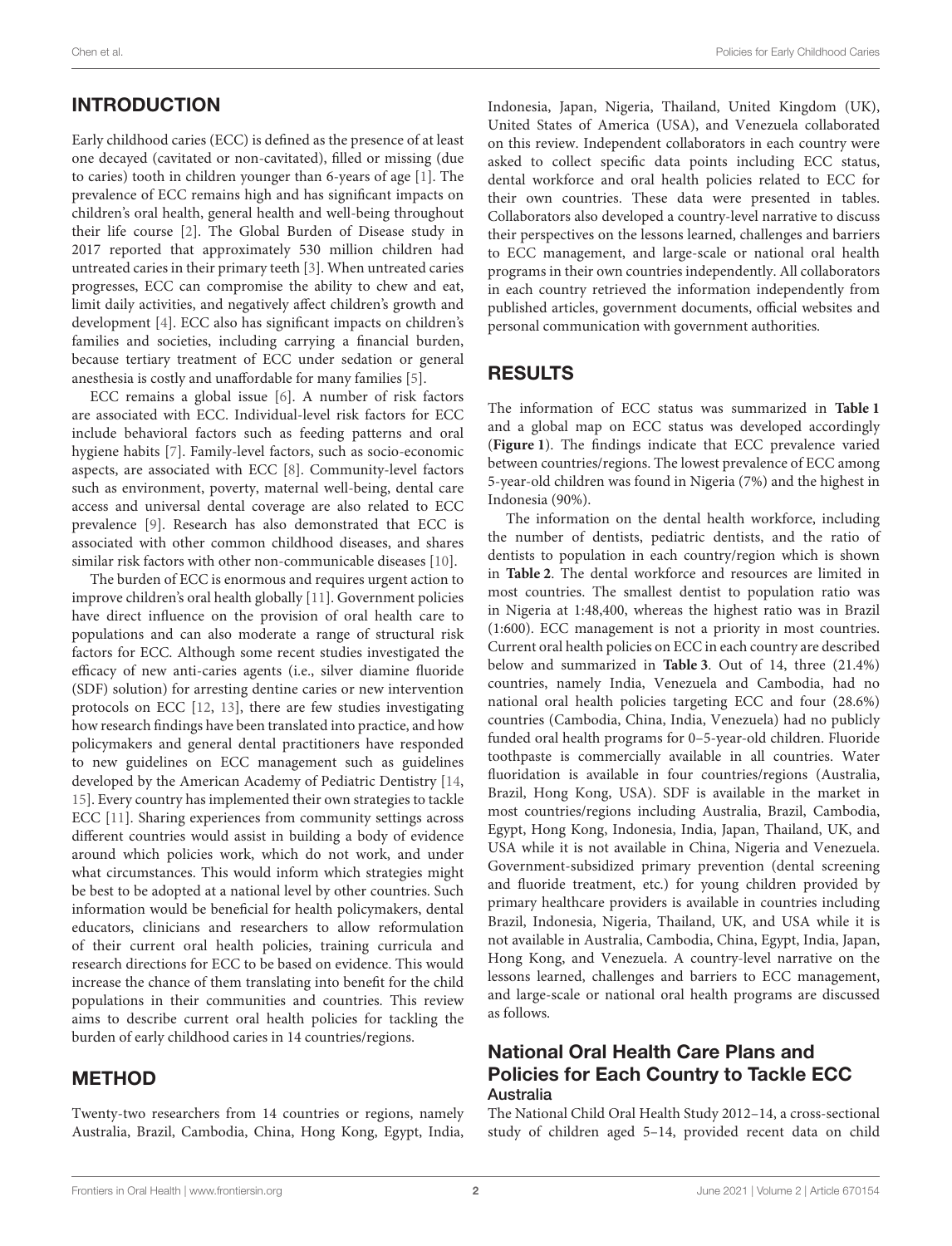# INTRODUCTION

Early childhood caries (ECC) is defined as the presence of at least one decayed (cavitated or non-cavitated), filled or missing (due to caries) tooth in children younger than 6-years of age [\[1\]](#page-12-0). The prevalence of ECC remains high and has significant impacts on children's oral health, general health and well-being throughout their life course [\[2\]](#page-12-1). The Global Burden of Disease study in 2017 reported that approximately 530 million children had untreated caries in their primary teeth [\[3\]](#page-12-2). When untreated caries progresses, ECC can compromise the ability to chew and eat, limit daily activities, and negatively affect children's growth and development [\[4\]](#page-12-3). ECC also has significant impacts on children's families and societies, including carrying a financial burden, because tertiary treatment of ECC under sedation or general anesthesia is costly and unaffordable for many families [\[5\]](#page-12-4).

ECC remains a global issue [\[6\]](#page-12-5). A number of risk factors are associated with ECC. Individual-level risk factors for ECC include behavioral factors such as feeding patterns and oral hygiene habits [\[7\]](#page-12-6). Family-level factors, such as socio-economic aspects, are associated with ECC [\[8\]](#page-12-7). Community-level factors such as environment, poverty, maternal well-being, dental care access and universal dental coverage are also related to ECC prevalence [\[9\]](#page-12-8). Research has also demonstrated that ECC is associated with other common childhood diseases, and shares similar risk factors with other non-communicable diseases [\[10\]](#page-12-9).

The burden of ECC is enormous and requires urgent action to improve children's oral health globally [\[11\]](#page-13-0). Government policies have direct influence on the provision of oral health care to populations and can also moderate a range of structural risk factors for ECC. Although some recent studies investigated the efficacy of new anti-caries agents (i.e., silver diamine fluoride (SDF) solution) for arresting dentine caries or new intervention protocols on ECC [\[12,](#page-13-1) [13\]](#page-13-2), there are few studies investigating how research findings have been translated into practice, and how policymakers and general dental practitioners have responded to new guidelines on ECC management such as guidelines developed by the American Academy of Pediatric Dentistry [\[14,](#page-13-3) [15\]](#page-13-4). Every country has implemented their own strategies to tackle ECC [\[11\]](#page-13-0). Sharing experiences from community settings across different countries would assist in building a body of evidence around which policies work, which do not work, and under what circumstances. This would inform which strategies might be best to be adopted at a national level by other countries. Such information would be beneficial for health policymakers, dental educators, clinicians and researchers to allow reformulation of their current oral health policies, training curricula and research directions for ECC to be based on evidence. This would increase the chance of them translating into benefit for the child populations in their communities and countries. This review aims to describe current oral health policies for tackling the burden of early childhood caries in 14 countries/regions.

# METHOD

Twenty-two researchers from 14 countries or regions, namely Australia, Brazil, Cambodia, China, Hong Kong, Egypt, India, Indonesia, Japan, Nigeria, Thailand, United Kingdom (UK), United States of America (USA), and Venezuela collaborated on this review. Independent collaborators in each country were asked to collect specific data points including ECC status, dental workforce and oral health policies related to ECC for their own countries. These data were presented in tables. Collaborators also developed a country-level narrative to discuss their perspectives on the lessons learned, challenges and barriers to ECC management, and large-scale or national oral health programs in their own countries independently. All collaborators in each country retrieved the information independently from published articles, government documents, official websites and personal communication with government authorities.

# RESULTS

The information of ECC status was summarized in **[Table 1](#page-2-0)** and a global map on ECC status was developed accordingly (**[Figure 1](#page-3-0)**). The findings indicate that ECC prevalence varied between countries/regions. The lowest prevalence of ECC among 5-year-old children was found in Nigeria (7%) and the highest in Indonesia (90%).

The information on the dental health workforce, including the number of dentists, pediatric dentists, and the ratio of dentists to population in each country/region which is shown in **[Table 2](#page-3-1)**. The dental workforce and resources are limited in most countries. The smallest dentist to population ratio was in Nigeria at 1:48,400, whereas the highest ratio was in Brazil (1:600). ECC management is not a priority in most countries. Current oral health policies on ECC in each country are described below and summarized in **[Table 3](#page-4-0)**. Out of 14, three (21.4%) countries, namely India, Venezuela and Cambodia, had no national oral health policies targeting ECC and four (28.6%) countries (Cambodia, China, India, Venezuela) had no publicly funded oral health programs for 0–5-year-old children. Fluoride toothpaste is commercially available in all countries. Water fluoridation is available in four countries/regions (Australia, Brazil, Hong Kong, USA). SDF is available in the market in most countries/regions including Australia, Brazil, Cambodia, Egypt, Hong Kong, Indonesia, India, Japan, Thailand, UK, and USA while it is not available in China, Nigeria and Venezuela. Government-subsidized primary prevention (dental screening and fluoride treatment, etc.) for young children provided by primary healthcare providers is available in countries including Brazil, Indonesia, Nigeria, Thailand, UK, and USA while it is not available in Australia, Cambodia, China, Egypt, India, Japan, Hong Kong, and Venezuela. A country-level narrative on the lessons learned, challenges and barriers to ECC management, and large-scale or national oral health programs are discussed as follows.

# National Oral Health Care Plans and Policies for Each Country to Tackle ECC Australia

The National Child Oral Health Study 2012–14, a cross-sectional study of children aged 5–14, provided recent data on child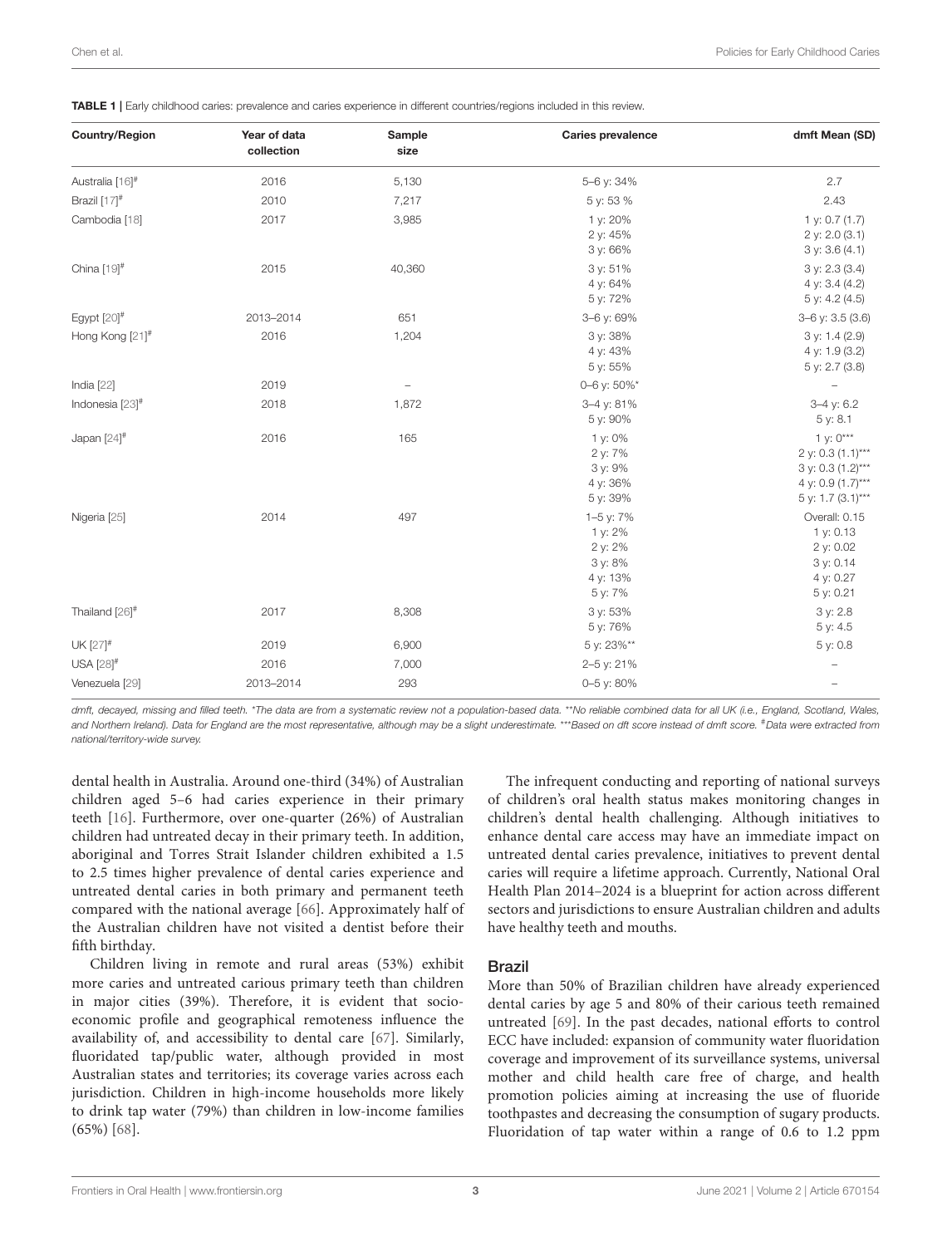<span id="page-2-0"></span>

|  |  |  |  |  |  | TABLE 1   Early childhood caries: prevalence and caries experience in different countries/regions included in this review. |
|--|--|--|--|--|--|----------------------------------------------------------------------------------------------------------------------------|
|--|--|--|--|--|--|----------------------------------------------------------------------------------------------------------------------------|

| <b>Country/Region</b>     | Year of data<br>collection | Sample<br>size           | <b>Caries prevalence</b>                                          | dmft Mean (SD)                                                                                  |
|---------------------------|----------------------------|--------------------------|-------------------------------------------------------------------|-------------------------------------------------------------------------------------------------|
| Australia [16]#           | 2016                       | 5,130                    | 5-6 y: 34%                                                        | 2.7                                                                                             |
| Brazil [17] <sup>#</sup>  | 2010                       | 7,217                    | 5 y: 53 %                                                         | 2.43                                                                                            |
| Cambodia [18]             | 2017                       | 3,985                    | 1 y: 20%<br>2 y: 45%<br>3 y: 66%                                  | 1 y: $0.7(1.7)$<br>2 y: 2.0 (3.1)<br>3 y: 3.6 (4.1)                                             |
| China $[19]$ <sup>#</sup> | 2015                       | 40,360                   | 3 y: 51%<br>4 y: 64%<br>5 y: 72%                                  | 3 y: 2.3 (3.4)<br>4 y: 3.4 (4.2)<br>5 y: 4.2 (4.5)                                              |
| Egypt $[20]$ <sup>#</sup> | 2013-2014                  | 651                      | 3-6 y: 69%                                                        | $3-6$ y: $3.5$ (3.6)                                                                            |
| Hong Kong [21]#           | 2016                       | 1,204                    | 3 y: 38%<br>4 y: 43%<br>5 y: 55%                                  | 3 y: 1.4 (2.9)<br>4 y: 1.9 (3.2)<br>5 y: 2.7 (3.8)                                              |
| India [22]                | 2019                       | $\overline{\phantom{0}}$ | 0-6 y: 50%*                                                       |                                                                                                 |
| Indonesia [23]#           | 2018                       | 1,872                    | 3-4 y: 81%<br>5 y: 90%                                            | $3-4$ y: 6.2<br>5 y: 8.1                                                                        |
| Japan $[24]$ <sup>#</sup> | 2016                       | 165                      | 1 y: 0%<br>2 y: 7%<br>3 y: 9%<br>4 y: 36%<br>5 y: 39%             | 1 y: $0***$<br>2 y: 0.3 (1.1)***<br>3 y: 0.3 (1.2)***<br>4 y: 0.9 (1.7)***<br>5 y: 1.7 (3.1)*** |
| Nigeria [25]              | 2014                       | 497                      | 1-5 y: 7%<br>1 y: 2%<br>2 y: 2%<br>3 y: 8%<br>4 y: 13%<br>5 y: 7% | Overall: 0.15<br>1 y: 0.13<br>2 y: 0.02<br>3 y: 0.14<br>4 y: 0.27<br>5 y: 0.21                  |
| Thailand [26]#            | 2017                       | 8,308                    | 3 y: 53%<br>5 y: 76%                                              | 3 y: 2.8<br>5 y: 4.5                                                                            |
| UK [27]#                  | 2019                       | 6,900                    | 5 y: 23%**                                                        | 5 y: 0.8                                                                                        |
| USA [28]#                 | 2016                       | 7,000                    | 2-5 y: 21%                                                        |                                                                                                 |
| Venezuela [29]            | 2013-2014                  | 293                      | 0-5 y: 80%                                                        |                                                                                                 |

*dmft, decayed, missing and filled teeth.* \**The data are from a systematic review not a population-based data.* \*\**No reliable combined data for all UK (i.e., England, Scotland, Wales, and Northern Ireland). Data for England are the most representative, although may be a slight underestimate.* \*\*\**Based on dft score instead of dmft score.* #*Data were extracted from national/territory-wide survey.*

dental health in Australia. Around one-third (34%) of Australian children aged 5–6 had caries experience in their primary teeth [\[16\]](#page-13-5). Furthermore, over one-quarter (26%) of Australian children had untreated decay in their primary teeth. In addition, aboriginal and Torres Strait Islander children exhibited a 1.5 to 2.5 times higher prevalence of dental caries experience and untreated dental caries in both primary and permanent teeth compared with the national average [\[66\]](#page-14-0). Approximately half of the Australian children have not visited a dentist before their fifth birthday.

Children living in remote and rural areas (53%) exhibit more caries and untreated carious primary teeth than children in major cities (39%). Therefore, it is evident that socioeconomic profile and geographical remoteness influence the availability of, and accessibility to dental care [\[67\]](#page-14-1). Similarly, fluoridated tap/public water, although provided in most Australian states and territories; its coverage varies across each jurisdiction. Children in high-income households more likely to drink tap water (79%) than children in low-income families (65%) [\[68\]](#page-14-2).

The infrequent conducting and reporting of national surveys of children's oral health status makes monitoring changes in children's dental health challenging. Although initiatives to enhance dental care access may have an immediate impact on untreated dental caries prevalence, initiatives to prevent dental caries will require a lifetime approach. Currently, National Oral Health Plan 2014–2024 is a blueprint for action across different sectors and jurisdictions to ensure Australian children and adults have healthy teeth and mouths.

#### Brazil

More than 50% of Brazilian children have already experienced dental caries by age 5 and 80% of their carious teeth remained untreated [\[69\]](#page-14-3). In the past decades, national efforts to control ECC have included: expansion of community water fluoridation coverage and improvement of its surveillance systems, universal mother and child health care free of charge, and health promotion policies aiming at increasing the use of fluoride toothpastes and decreasing the consumption of sugary products. Fluoridation of tap water within a range of 0.6 to 1.2 ppm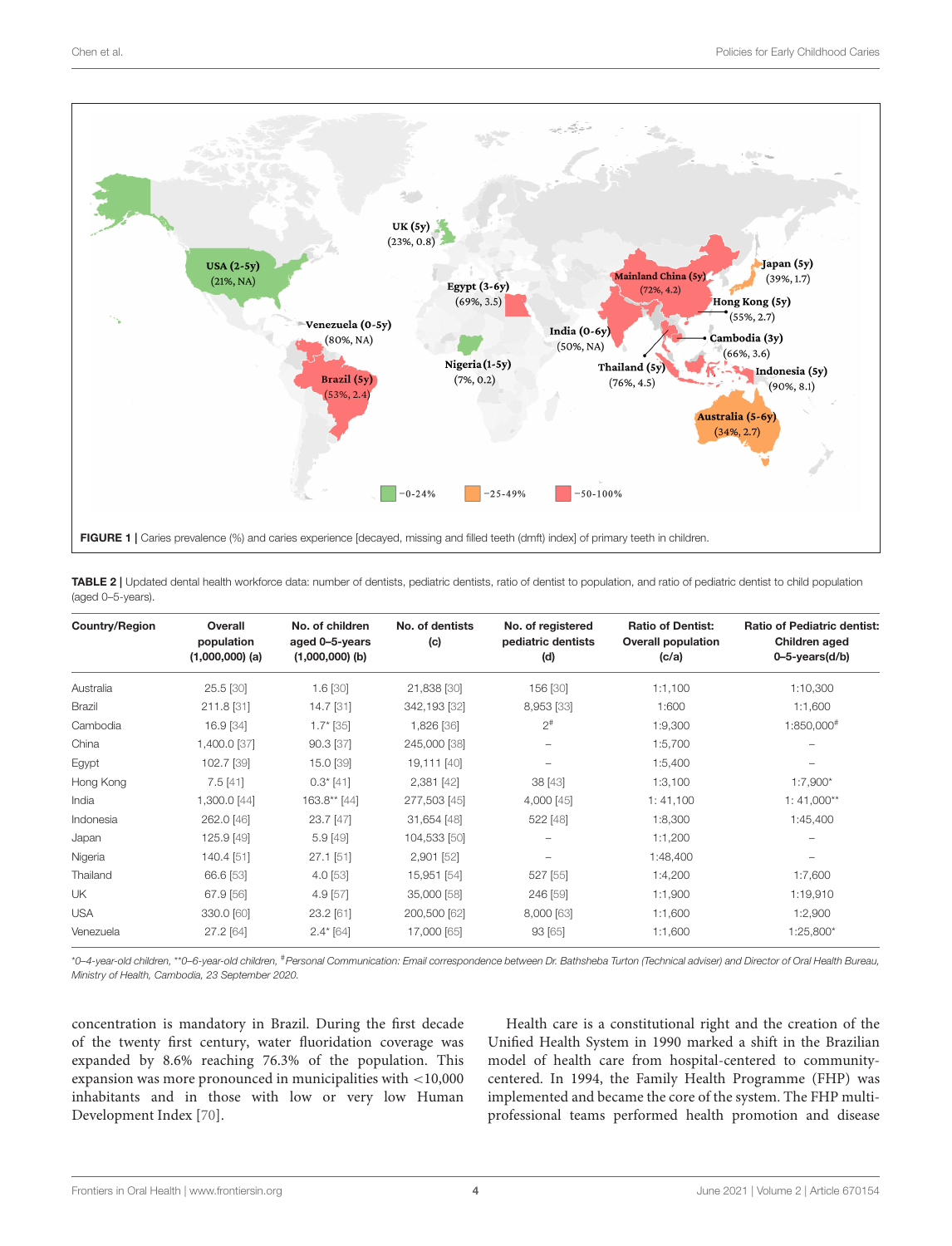

<span id="page-3-1"></span><span id="page-3-0"></span>TABLE 2 | Updated dental health workforce data: number of dentists, pediatric dentists, ratio of dentist to population, and ratio of pediatric dentist to child population (aged 0–5-years).

| <b>Country/Region</b> | Overall<br>population<br>$(1,000,000)$ (a) | No. of children<br>aged 0-5-years<br>$(1,000,000)$ (b) | No. of dentists<br>(c) | No. of registered<br>pediatric dentists<br>(d) | <b>Ratio of Dentist:</b><br><b>Overall population</b><br>(c/a) | <b>Ratio of Pediatric dentist:</b><br>Children aged<br>$0 - 5 - \text{years}(d/b)$ |
|-----------------------|--------------------------------------------|--------------------------------------------------------|------------------------|------------------------------------------------|----------------------------------------------------------------|------------------------------------------------------------------------------------|
|                       |                                            |                                                        |                        |                                                |                                                                |                                                                                    |
| Australia             | 25.5 [30]                                  | $1.6$ [30]                                             | 21,838 [30]            | 156 [30]                                       | 1:1,100                                                        | 1:10,300                                                                           |
| <b>Brazil</b>         | 211.8 [31]                                 | 14.7 [31]                                              | 342,193 [32]           | 8,953 [33]                                     | 1:600                                                          | 1:1,600                                                                            |
| Cambodia              | 16.9 [34]                                  | $1.7^*$ [35]                                           | 1,826 [36]             | $2^{#}$                                        | 1:9,300                                                        | 1:850,000#                                                                         |
| China                 | 1,400.0 [37]                               | 90.3 [37]                                              | 245,000 [38]           | $\overline{\phantom{a}}$                       | 1:5,700                                                        | -                                                                                  |
| Egypt                 | 102.7 [39]                                 | 15.0 [39]                                              | 19,111 [40]            |                                                | 1:5,400                                                        |                                                                                    |
| Hong Kong             | 7.5[41]                                    | $0.3^{\ast}$ [41]                                      | 2,381 [42]             | 38 [43]                                        | 1:3,100                                                        | $1:7,900*$                                                                         |
| India                 | 1,300.0 [44]                               | 163.8** [44]                                           | 277,503 [45]           | 4,000 [45]                                     | 1:41,100                                                       | $1:41,000**$                                                                       |
| Indonesia             | 262.0 [46]                                 | 23.7 [47]                                              | 31,654 [48]            | 522 [48]                                       | 1:8,300                                                        | 1:45,400                                                                           |
| Japan                 | 125.9 [49]                                 | $5.9$ [49]                                             | 104,533 [50]           |                                                | 1:1,200                                                        |                                                                                    |
| Nigeria               | 140.4 [51]                                 | 27.1 [51]                                              | 2,901 [52]             |                                                | 1:48,400                                                       |                                                                                    |
| Thailand              | 66.6 [53]                                  | $4.0$ [53]                                             | 15,951 [54]            | 527 [55]                                       | 1:4,200                                                        | 1:7,600                                                                            |
| UK                    | 67.9 [56]                                  | $4.9$ [57]                                             | 35,000 [58]            | 246 [59]                                       | 1:1,900                                                        | 1:19,910                                                                           |
| <b>USA</b>            | 330.0 [60]                                 | 23.2 [61]                                              | 200,500 [62]           | 8,000 [63]                                     | 1:1,600                                                        | 1:2,900                                                                            |
| Venezuela             | 27.2 [64]                                  | $2.4$ * [64]                                           | 17,000 [65]            | 93 [65]                                        | 1:1,600                                                        | 1:25,800*                                                                          |

\**0–4-year-old children,* \*\**0–6-year-old children,* #*Personal Communication: Email correspondence between Dr. Bathsheba Turton (Technical adviser) and Director of Oral Health Bureau, Ministry of Health, Cambodia, 23 September 2020.*

concentration is mandatory in Brazil. During the first decade of the twenty first century, water fluoridation coverage was expanded by 8.6% reaching 76.3% of the population. This expansion was more pronounced in municipalities with <10,000 inhabitants and in those with low or very low Human Development Index [\[70\]](#page-14-17).

Health care is a constitutional right and the creation of the Unified Health System in 1990 marked a shift in the Brazilian model of health care from hospital-centered to communitycentered. In 1994, the Family Health Programme (FHP) was implemented and became the core of the system. The FHP multiprofessional teams performed health promotion and disease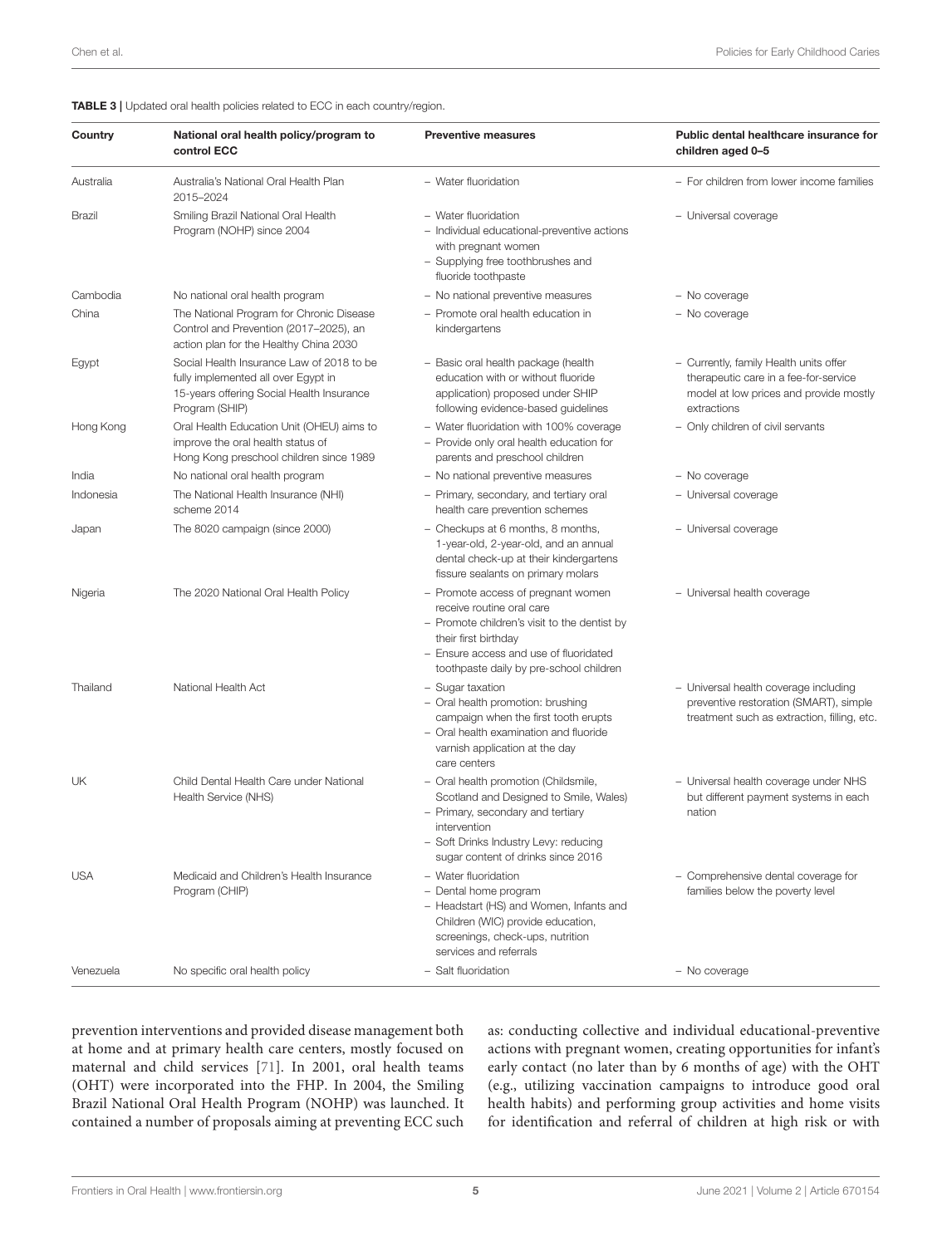<span id="page-4-0"></span>TABLE 3 | Updated oral health policies related to ECC in each country/region.

| Country    | National oral health policy/program to<br>control ECC                                                                                           | <b>Preventive measures</b>                                                                                                                                                                                                   | Public dental healthcare insurance for<br>children aged 0-5                                                                              |
|------------|-------------------------------------------------------------------------------------------------------------------------------------------------|------------------------------------------------------------------------------------------------------------------------------------------------------------------------------------------------------------------------------|------------------------------------------------------------------------------------------------------------------------------------------|
| Australia  | Australia's National Oral Health Plan<br>2015-2024                                                                                              | - Water fluoridation                                                                                                                                                                                                         | - For children from lower income families                                                                                                |
| Brazil     | Smiling Brazil National Oral Health<br>Program (NOHP) since 2004                                                                                | - Water fluoridation<br>- Individual educational-preventive actions<br>with pregnant women<br>- Supplying free toothbrushes and<br>fluoride toothpaste                                                                       | - Universal coverage                                                                                                                     |
| Cambodia   | No national oral health program                                                                                                                 | - No national preventive measures                                                                                                                                                                                            | - No coverage                                                                                                                            |
| China      | The National Program for Chronic Disease<br>Control and Prevention (2017-2025), an<br>action plan for the Healthy China 2030                    | - Promote oral health education in<br>kindergartens                                                                                                                                                                          | - No coverage                                                                                                                            |
| Egypt      | Social Health Insurance Law of 2018 to be<br>fully implemented all over Egypt in<br>15-years offering Social Health Insurance<br>Program (SHIP) | - Basic oral health package (health<br>education with or without fluoride<br>application) proposed under SHIP<br>following evidence-based guidelines                                                                         | - Currently, family Health units offer<br>therapeutic care in a fee-for-service<br>model at low prices and provide mostly<br>extractions |
| Hong Kong  | Oral Health Education Unit (OHEU) aims to<br>improve the oral health status of<br>Hong Kong preschool children since 1989                       | - Water fluoridation with 100% coverage<br>- Provide only oral health education for<br>parents and preschool children                                                                                                        | - Only children of civil servants                                                                                                        |
| India      | No national oral health program                                                                                                                 | - No national preventive measures                                                                                                                                                                                            | - No coverage                                                                                                                            |
| Indonesia  | The National Health Insurance (NHI)<br>scheme 2014                                                                                              | - Primary, secondary, and tertiary oral<br>health care prevention schemes                                                                                                                                                    | - Universal coverage                                                                                                                     |
| Japan      | The 8020 campaign (since 2000)                                                                                                                  | - Checkups at 6 months, 8 months,<br>1-year-old, 2-year-old, and an annual<br>dental check-up at their kindergartens<br>fissure sealants on primary molars                                                                   | - Universal coverage                                                                                                                     |
| Nigeria    | The 2020 National Oral Health Policy                                                                                                            | - Promote access of pregnant women<br>receive routine oral care<br>- Promote children's visit to the dentist by<br>their first birthday<br>- Ensure access and use of fluoridated<br>toothpaste daily by pre-school children | - Universal health coverage                                                                                                              |
| Thailand   | National Health Act                                                                                                                             | - Sugar taxation<br>- Oral health promotion: brushing<br>campaign when the first tooth erupts<br>- Oral health examination and fluoride<br>varnish application at the day<br>care centers                                    | - Universal health coverage including<br>preventive restoration (SMART), simple<br>treatment such as extraction, filling, etc.           |
| UK         | Child Dental Health Care under National<br>Health Service (NHS)                                                                                 | - Oral health promotion (Childsmile,<br>Scotland and Designed to Smile, Wales)<br>- Primary, secondary and tertiary<br>intervention<br>- Soft Drinks Industry Levy: reducing<br>sugar content of drinks since 2016           | - Universal health coverage under NHS<br>but different payment systems in each<br>nation                                                 |
| <b>USA</b> | Medicaid and Children's Health Insurance<br>Program (CHIP)                                                                                      | - Water fluoridation<br>- Dental home program<br>- Headstart (HS) and Women, Infants and<br>Children (WIC) provide education,<br>screenings, check-ups, nutrition<br>services and referrals                                  | - Comprehensive dental coverage for<br>families below the poverty level                                                                  |
| Venezuela  | No specific oral health policy                                                                                                                  | - Salt fluoridation                                                                                                                                                                                                          | - No coverage                                                                                                                            |

prevention interventions and provided disease management both at home and at primary health care centers, mostly focused on maternal and child services [\[71\]](#page-14-18). In 2001, oral health teams (OHT) were incorporated into the FHP. In 2004, the Smiling Brazil National Oral Health Program (NOHP) was launched. It contained a number of proposals aiming at preventing ECC such

as: conducting collective and individual educational-preventive actions with pregnant women, creating opportunities for infant's early contact (no later than by 6 months of age) with the OHT (e.g., utilizing vaccination campaigns to introduce good oral health habits) and performing group activities and home visits for identification and referral of children at high risk or with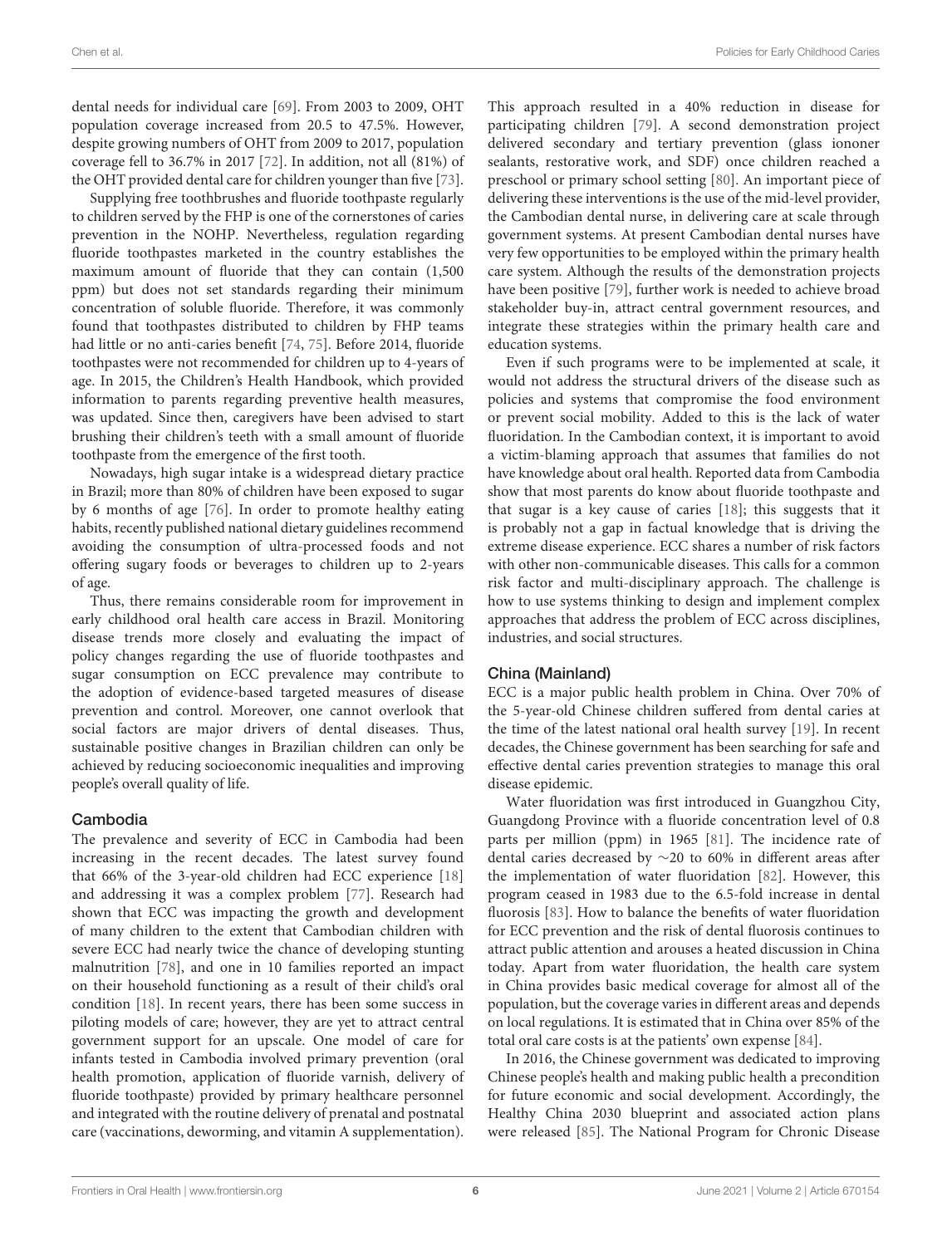dental needs for individual care [\[69\]](#page-14-3). From 2003 to 2009, OHT population coverage increased from 20.5 to 47.5%. However, despite growing numbers of OHT from 2009 to 2017, population coverage fell to 36.7% in 2017 [\[72\]](#page-14-19). In addition, not all (81%) of the OHT provided dental care for children younger than five [\[73\]](#page-14-20).

Supplying free toothbrushes and fluoride toothpaste regularly to children served by the FHP is one of the cornerstones of caries prevention in the NOHP. Nevertheless, regulation regarding fluoride toothpastes marketed in the country establishes the maximum amount of fluoride that they can contain (1,500 ppm) but does not set standards regarding their minimum concentration of soluble fluoride. Therefore, it was commonly found that toothpastes distributed to children by FHP teams had little or no anti-caries benefit [\[74,](#page-14-21) [75\]](#page-14-22). Before 2014, fluoride toothpastes were not recommended for children up to 4-years of age. In 2015, the Children's Health Handbook, which provided information to parents regarding preventive health measures, was updated. Since then, caregivers have been advised to start brushing their children's teeth with a small amount of fluoride toothpaste from the emergence of the first tooth.

Nowadays, high sugar intake is a widespread dietary practice in Brazil; more than 80% of children have been exposed to sugar by 6 months of age [\[76\]](#page-14-23). In order to promote healthy eating habits, recently published national dietary guidelines recommend avoiding the consumption of ultra-processed foods and not offering sugary foods or beverages to children up to 2-years of age.

Thus, there remains considerable room for improvement in early childhood oral health care access in Brazil. Monitoring disease trends more closely and evaluating the impact of policy changes regarding the use of fluoride toothpastes and sugar consumption on ECC prevalence may contribute to the adoption of evidence-based targeted measures of disease prevention and control. Moreover, one cannot overlook that social factors are major drivers of dental diseases. Thus, sustainable positive changes in Brazilian children can only be achieved by reducing socioeconomic inequalities and improving people's overall quality of life.

## Cambodia

The prevalence and severity of ECC in Cambodia had been increasing in the recent decades. The latest survey found that 66% of the 3-year-old children had ECC experience [\[18\]](#page-13-7) and addressing it was a complex problem [\[77\]](#page-14-24). Research had shown that ECC was impacting the growth and development of many children to the extent that Cambodian children with severe ECC had nearly twice the chance of developing stunting malnutrition [\[78\]](#page-14-25), and one in 10 families reported an impact on their household functioning as a result of their child's oral condition [\[18\]](#page-13-7). In recent years, there has been some success in piloting models of care; however, they are yet to attract central government support for an upscale. One model of care for infants tested in Cambodia involved primary prevention (oral health promotion, application of fluoride varnish, delivery of fluoride toothpaste) provided by primary healthcare personnel and integrated with the routine delivery of prenatal and postnatal care (vaccinations, deworming, and vitamin A supplementation). This approach resulted in a 40% reduction in disease for participating children [\[79\]](#page-14-26). A second demonstration project delivered secondary and tertiary prevention (glass iononer sealants, restorative work, and SDF) once children reached a preschool or primary school setting [\[80\]](#page-14-27). An important piece of delivering these interventions is the use of the mid-level provider, the Cambodian dental nurse, in delivering care at scale through government systems. At present Cambodian dental nurses have very few opportunities to be employed within the primary health care system. Although the results of the demonstration projects have been positive [\[79\]](#page-14-26), further work is needed to achieve broad stakeholder buy-in, attract central government resources, and integrate these strategies within the primary health care and education systems.

Even if such programs were to be implemented at scale, it would not address the structural drivers of the disease such as policies and systems that compromise the food environment or prevent social mobility. Added to this is the lack of water fluoridation. In the Cambodian context, it is important to avoid a victim-blaming approach that assumes that families do not have knowledge about oral health. Reported data from Cambodia show that most parents do know about fluoride toothpaste and that sugar is a key cause of caries [\[18\]](#page-13-7); this suggests that it is probably not a gap in factual knowledge that is driving the extreme disease experience. ECC shares a number of risk factors with other non-communicable diseases. This calls for a common risk factor and multi-disciplinary approach. The challenge is how to use systems thinking to design and implement complex approaches that address the problem of ECC across disciplines, industries, and social structures.

## China (Mainland)

ECC is a major public health problem in China. Over 70% of the 5-year-old Chinese children suffered from dental caries at the time of the latest national oral health survey [\[19\]](#page-13-8). In recent decades, the Chinese government has been searching for safe and effective dental caries prevention strategies to manage this oral disease epidemic.

Water fluoridation was first introduced in Guangzhou City, Guangdong Province with a fluoride concentration level of 0.8 parts per million (ppm) in 1965 [\[81\]](#page-14-28). The incidence rate of dental caries decreased by ∼20 to 60% in different areas after the implementation of water fluoridation [\[82\]](#page-14-29). However, this program ceased in 1983 due to the 6.5-fold increase in dental fluorosis [\[83\]](#page-14-30). How to balance the benefits of water fluoridation for ECC prevention and the risk of dental fluorosis continues to attract public attention and arouses a heated discussion in China today. Apart from water fluoridation, the health care system in China provides basic medical coverage for almost all of the population, but the coverage varies in different areas and depends on local regulations. It is estimated that in China over 85% of the total oral care costs is at the patients' own expense [\[84\]](#page-14-31).

In 2016, the Chinese government was dedicated to improving Chinese people's health and making public health a precondition for future economic and social development. Accordingly, the Healthy China 2030 blueprint and associated action plans were released [\[85\]](#page-14-32). The National Program for Chronic Disease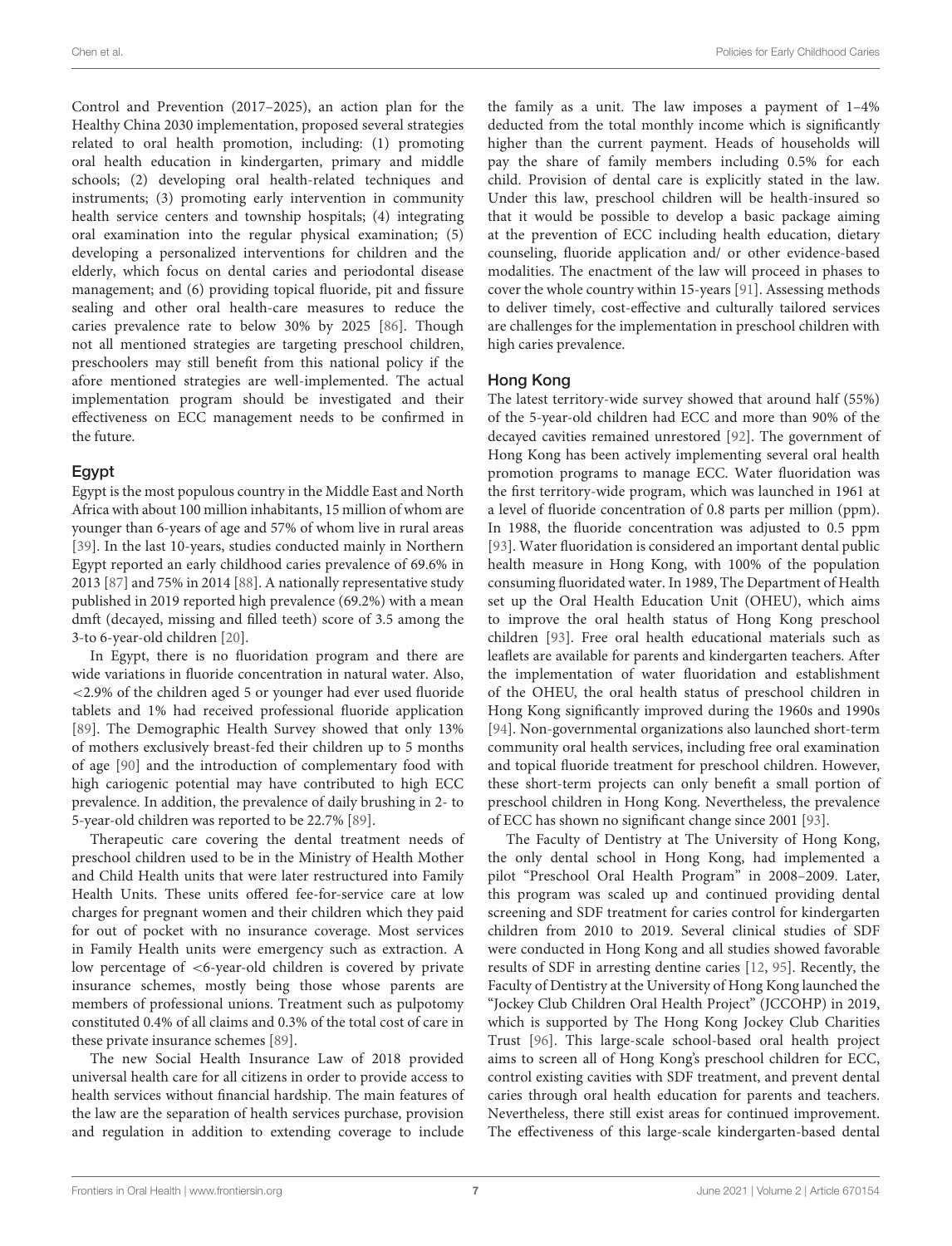Control and Prevention (2017–2025), an action plan for the Healthy China 2030 implementation, proposed several strategies related to oral health promotion, including: (1) promoting oral health education in kindergarten, primary and middle schools; (2) developing oral health-related techniques and instruments; (3) promoting early intervention in community health service centers and township hospitals; (4) integrating oral examination into the regular physical examination; (5) developing a personalized interventions for children and the elderly, which focus on dental caries and periodontal disease management; and (6) providing topical fluoride, pit and fissure sealing and other oral health-care measures to reduce the caries prevalence rate to below 30% by 2025 [\[86\]](#page-14-33). Though not all mentioned strategies are targeting preschool children, preschoolers may still benefit from this national policy if the afore mentioned strategies are well-implemented. The actual implementation program should be investigated and their effectiveness on ECC management needs to be confirmed in the future.

#### Egypt

Egypt is the most populous country in the Middle East and North Africa with about 100 million inhabitants, 15 million of whom are younger than 6-years of age and 57% of whom live in rural areas [\[39\]](#page-13-28). In the last 10-years, studies conducted mainly in Northern Egypt reported an early childhood caries prevalence of 69.6% in 2013 [\[87\]](#page-14-34) and 75% in 2014 [\[88\]](#page-14-35). A nationally representative study published in 2019 reported high prevalence (69.2%) with a mean dmft (decayed, missing and filled teeth) score of 3.5 among the 3-to 6-year-old children [\[20\]](#page-13-9).

In Egypt, there is no fluoridation program and there are wide variations in fluoride concentration in natural water. Also, <2.9% of the children aged 5 or younger had ever used fluoride tablets and 1% had received professional fluoride application [\[89\]](#page-14-36). The Demographic Health Survey showed that only 13% of mothers exclusively breast-fed their children up to 5 months of age [\[90\]](#page-14-37) and the introduction of complementary food with high cariogenic potential may have contributed to high ECC prevalence. In addition, the prevalence of daily brushing in 2- to 5-year-old children was reported to be 22.7% [\[89\]](#page-14-36).

Therapeutic care covering the dental treatment needs of preschool children used to be in the Ministry of Health Mother and Child Health units that were later restructured into Family Health Units. These units offered fee-for-service care at low charges for pregnant women and their children which they paid for out of pocket with no insurance coverage. Most services in Family Health units were emergency such as extraction. A low percentage of <6-year-old children is covered by private insurance schemes, mostly being those whose parents are members of professional unions. Treatment such as pulpotomy constituted 0.4% of all claims and 0.3% of the total cost of care in these private insurance schemes [\[89\]](#page-14-36).

The new Social Health Insurance Law of 2018 provided universal health care for all citizens in order to provide access to health services without financial hardship. The main features of the law are the separation of health services purchase, provision and regulation in addition to extending coverage to include the family as a unit. The law imposes a payment of 1–4% deducted from the total monthly income which is significantly higher than the current payment. Heads of households will pay the share of family members including 0.5% for each child. Provision of dental care is explicitly stated in the law. Under this law, preschool children will be health-insured so that it would be possible to develop a basic package aiming at the prevention of ECC including health education, dietary counseling, fluoride application and/ or other evidence-based modalities. The enactment of the law will proceed in phases to cover the whole country within 15-years [\[91\]](#page-14-38). Assessing methods to deliver timely, cost-effective and culturally tailored services are challenges for the implementation in preschool children with high caries prevalence.

# Hong Kong

The latest territory-wide survey showed that around half (55%) of the 5-year-old children had ECC and more than 90% of the decayed cavities remained unrestored [\[92\]](#page-14-39). The government of Hong Kong has been actively implementing several oral health promotion programs to manage ECC. Water fluoridation was the first territory-wide program, which was launched in 1961 at a level of fluoride concentration of 0.8 parts per million (ppm). In 1988, the fluoride concentration was adjusted to 0.5 ppm [\[93\]](#page-14-40). Water fluoridation is considered an important dental public health measure in Hong Kong, with 100% of the population consuming fluoridated water. In 1989, The Department of Health set up the Oral Health Education Unit (OHEU), which aims to improve the oral health status of Hong Kong preschool children [\[93\]](#page-14-40). Free oral health educational materials such as leaflets are available for parents and kindergarten teachers. After the implementation of water fluoridation and establishment of the OHEU, the oral health status of preschool children in Hong Kong significantly improved during the 1960s and 1990s [\[94\]](#page-14-41). Non-governmental organizations also launched short-term community oral health services, including free oral examination and topical fluoride treatment for preschool children. However, these short-term projects can only benefit a small portion of preschool children in Hong Kong. Nevertheless, the prevalence of ECC has shown no significant change since 2001 [\[93\]](#page-14-40).

The Faculty of Dentistry at The University of Hong Kong, the only dental school in Hong Kong, had implemented a pilot "Preschool Oral Health Program" in 2008–2009. Later, this program was scaled up and continued providing dental screening and SDF treatment for caries control for kindergarten children from 2010 to 2019. Several clinical studies of SDF were conducted in Hong Kong and all studies showed favorable results of SDF in arresting dentine caries [\[12,](#page-13-1) [95\]](#page-14-42). Recently, the Faculty of Dentistry at the University of Hong Kong launched the "Jockey Club Children Oral Health Project" (JCCOHP) in 2019, which is supported by The Hong Kong Jockey Club Charities Trust [\[96\]](#page-14-43). This large-scale school-based oral health project aims to screen all of Hong Kong's preschool children for ECC, control existing cavities with SDF treatment, and prevent dental caries through oral health education for parents and teachers. Nevertheless, there still exist areas for continued improvement. The effectiveness of this large-scale kindergarten-based dental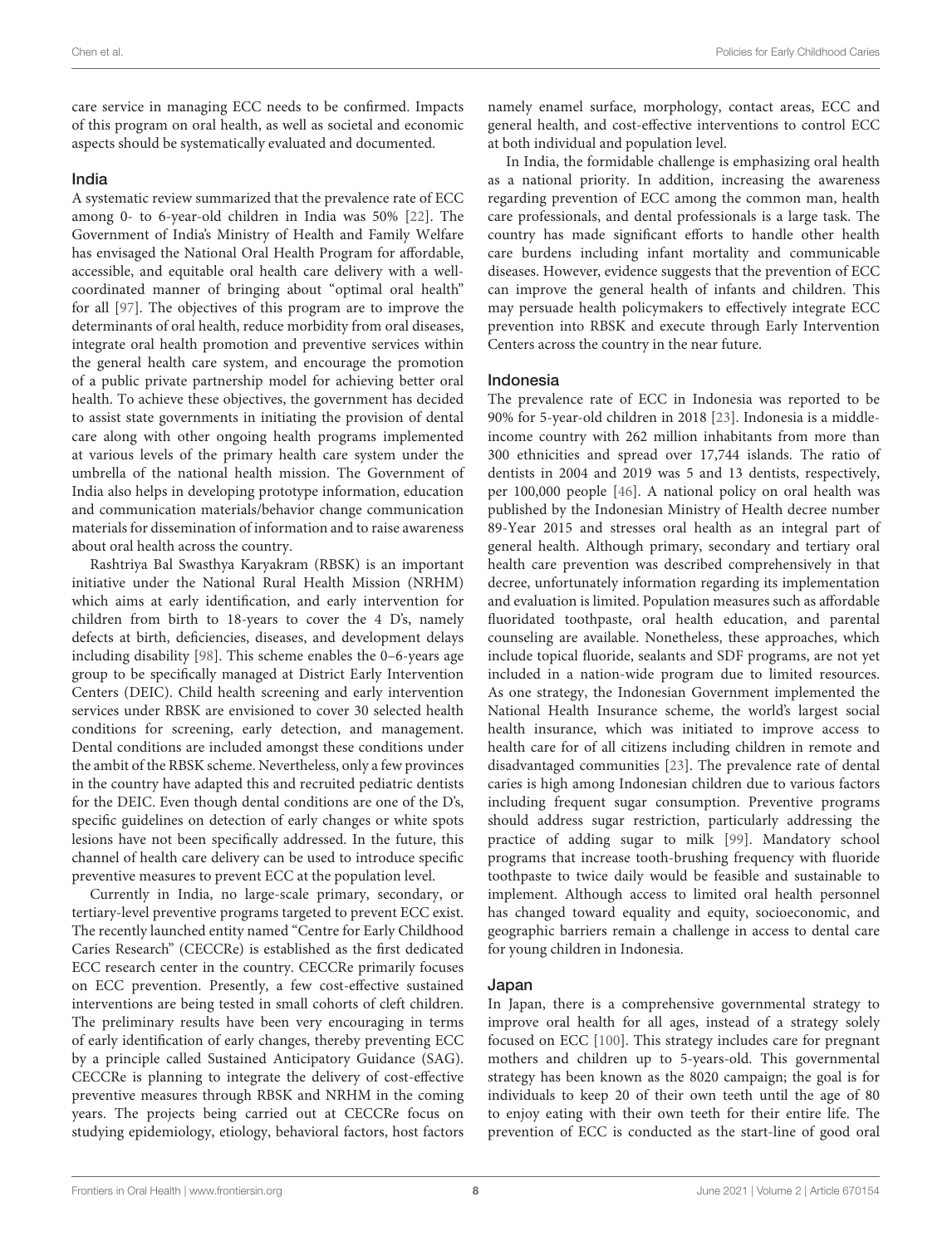care service in managing ECC needs to be confirmed. Impacts of this program on oral health, as well as societal and economic aspects should be systematically evaluated and documented.

#### India

A systematic review summarized that the prevalence rate of ECC among 0- to 6-year-old children in India was 50% [\[22\]](#page-13-11). The Government of India's Ministry of Health and Family Welfare has envisaged the National Oral Health Program for affordable, accessible, and equitable oral health care delivery with a wellcoordinated manner of bringing about "optimal oral health" for all [\[97\]](#page-15-0). The objectives of this program are to improve the determinants of oral health, reduce morbidity from oral diseases, integrate oral health promotion and preventive services within the general health care system, and encourage the promotion of a public private partnership model for achieving better oral health. To achieve these objectives, the government has decided to assist state governments in initiating the provision of dental care along with other ongoing health programs implemented at various levels of the primary health care system under the umbrella of the national health mission. The Government of India also helps in developing prototype information, education and communication materials/behavior change communication materials for dissemination of information and to raise awareness about oral health across the country.

Rashtriya Bal Swasthya Karyakram (RBSK) is an important initiative under the National Rural Health Mission (NRHM) which aims at early identification, and early intervention for children from birth to 18-years to cover the 4 D's, namely defects at birth, deficiencies, diseases, and development delays including disability [\[98\]](#page-15-1). This scheme enables the 0–6-years age group to be specifically managed at District Early Intervention Centers (DEIC). Child health screening and early intervention services under RBSK are envisioned to cover 30 selected health conditions for screening, early detection, and management. Dental conditions are included amongst these conditions under the ambit of the RBSK scheme. Nevertheless, only a few provinces in the country have adapted this and recruited pediatric dentists for the DEIC. Even though dental conditions are one of the D's, specific guidelines on detection of early changes or white spots lesions have not been specifically addressed. In the future, this channel of health care delivery can be used to introduce specific preventive measures to prevent ECC at the population level.

Currently in India, no large-scale primary, secondary, or tertiary-level preventive programs targeted to prevent ECC exist. The recently launched entity named "Centre for Early Childhood Caries Research" (CECCRe) is established as the first dedicated ECC research center in the country. CECCRe primarily focuses on ECC prevention. Presently, a few cost-effective sustained interventions are being tested in small cohorts of cleft children. The preliminary results have been very encouraging in terms of early identification of early changes, thereby preventing ECC by a principle called Sustained Anticipatory Guidance (SAG). CECCRe is planning to integrate the delivery of cost-effective preventive measures through RBSK and NRHM in the coming years. The projects being carried out at CECCRe focus on studying epidemiology, etiology, behavioral factors, host factors namely enamel surface, morphology, contact areas, ECC and general health, and cost-effective interventions to control ECC at both individual and population level.

In India, the formidable challenge is emphasizing oral health as a national priority. In addition, increasing the awareness regarding prevention of ECC among the common man, health care professionals, and dental professionals is a large task. The country has made significant efforts to handle other health care burdens including infant mortality and communicable diseases. However, evidence suggests that the prevention of ECC can improve the general health of infants and children. This may persuade health policymakers to effectively integrate ECC prevention into RBSK and execute through Early Intervention Centers across the country in the near future.

#### Indonesia

The prevalence rate of ECC in Indonesia was reported to be 90% for 5-year-old children in 2018 [\[23\]](#page-13-12). Indonesia is a middleincome country with 262 million inhabitants from more than 300 ethnicities and spread over 17,744 islands. The ratio of dentists in 2004 and 2019 was 5 and 13 dentists, respectively, per 100,000 people [\[46\]](#page-13-35). A national policy on oral health was published by the Indonesian Ministry of Health decree number 89-Year 2015 and stresses oral health as an integral part of general health. Although primary, secondary and tertiary oral health care prevention was described comprehensively in that decree, unfortunately information regarding its implementation and evaluation is limited. Population measures such as affordable fluoridated toothpaste, oral health education, and parental counseling are available. Nonetheless, these approaches, which include topical fluoride, sealants and SDF programs, are not yet included in a nation-wide program due to limited resources. As one strategy, the Indonesian Government implemented the National Health Insurance scheme, the world's largest social health insurance, which was initiated to improve access to health care for of all citizens including children in remote and disadvantaged communities [\[23\]](#page-13-12). The prevalence rate of dental caries is high among Indonesian children due to various factors including frequent sugar consumption. Preventive programs should address sugar restriction, particularly addressing the practice of adding sugar to milk [\[99\]](#page-15-2). Mandatory school programs that increase tooth-brushing frequency with fluoride toothpaste to twice daily would be feasible and sustainable to implement. Although access to limited oral health personnel has changed toward equality and equity, socioeconomic, and geographic barriers remain a challenge in access to dental care for young children in Indonesia.

#### Japan

In Japan, there is a comprehensive governmental strategy to improve oral health for all ages, instead of a strategy solely focused on ECC [\[100\]](#page-15-3). This strategy includes care for pregnant mothers and children up to 5-years-old. This governmental strategy has been known as the 8020 campaign; the goal is for individuals to keep 20 of their own teeth until the age of 80 to enjoy eating with their own teeth for their entire life. The prevention of ECC is conducted as the start-line of good oral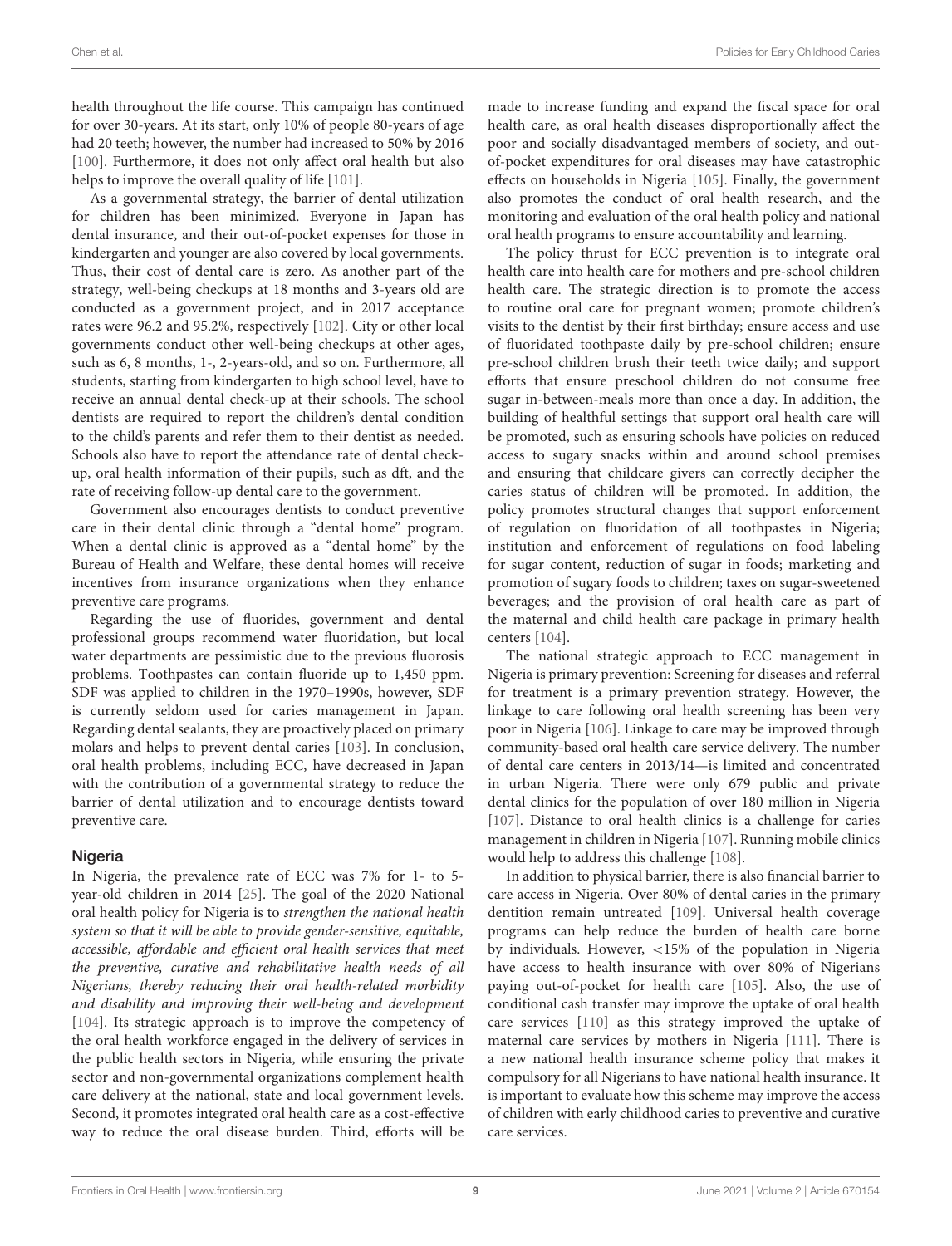health throughout the life course. This campaign has continued for over 30-years. At its start, only 10% of people 80-years of age had 20 teeth; however, the number had increased to 50% by 2016 [\[100\]](#page-15-3). Furthermore, it does not only affect oral health but also helps to improve the overall quality of life [\[101\]](#page-15-4).

As a governmental strategy, the barrier of dental utilization for children has been minimized. Everyone in Japan has dental insurance, and their out-of-pocket expenses for those in kindergarten and younger are also covered by local governments. Thus, their cost of dental care is zero. As another part of the strategy, well-being checkups at 18 months and 3-years old are conducted as a government project, and in 2017 acceptance rates were 96.2 and 95.2%, respectively [\[102\]](#page-15-5). City or other local governments conduct other well-being checkups at other ages, such as 6, 8 months, 1-, 2-years-old, and so on. Furthermore, all students, starting from kindergarten to high school level, have to receive an annual dental check-up at their schools. The school dentists are required to report the children's dental condition to the child's parents and refer them to their dentist as needed. Schools also have to report the attendance rate of dental checkup, oral health information of their pupils, such as dft, and the rate of receiving follow-up dental care to the government.

Government also encourages dentists to conduct preventive care in their dental clinic through a "dental home" program. When a dental clinic is approved as a "dental home" by the Bureau of Health and Welfare, these dental homes will receive incentives from insurance organizations when they enhance preventive care programs.

Regarding the use of fluorides, government and dental professional groups recommend water fluoridation, but local water departments are pessimistic due to the previous fluorosis problems. Toothpastes can contain fluoride up to 1,450 ppm. SDF was applied to children in the 1970–1990s, however, SDF is currently seldom used for caries management in Japan. Regarding dental sealants, they are proactively placed on primary molars and helps to prevent dental caries [\[103\]](#page-15-6). In conclusion, oral health problems, including ECC, have decreased in Japan with the contribution of a governmental strategy to reduce the barrier of dental utilization and to encourage dentists toward preventive care.

#### Nigeria

In Nigeria, the prevalence rate of ECC was 7% for 1- to 5 year-old children in 2014 [\[25\]](#page-13-14). The goal of the 2020 National oral health policy for Nigeria is to strengthen the national health system so that it will be able to provide gender-sensitive, equitable, accessible, affordable and efficient oral health services that meet the preventive, curative and rehabilitative health needs of all Nigerians, thereby reducing their oral health-related morbidity and disability and improving their well-being and development [\[104\]](#page-15-7). Its strategic approach is to improve the competency of the oral health workforce engaged in the delivery of services in the public health sectors in Nigeria, while ensuring the private sector and non-governmental organizations complement health care delivery at the national, state and local government levels. Second, it promotes integrated oral health care as a cost-effective way to reduce the oral disease burden. Third, efforts will be made to increase funding and expand the fiscal space for oral health care, as oral health diseases disproportionally affect the poor and socially disadvantaged members of society, and outof-pocket expenditures for oral diseases may have catastrophic effects on households in Nigeria [\[105\]](#page-15-8). Finally, the government also promotes the conduct of oral health research, and the monitoring and evaluation of the oral health policy and national oral health programs to ensure accountability and learning.

The policy thrust for ECC prevention is to integrate oral health care into health care for mothers and pre-school children health care. The strategic direction is to promote the access to routine oral care for pregnant women; promote children's visits to the dentist by their first birthday; ensure access and use of fluoridated toothpaste daily by pre-school children; ensure pre-school children brush their teeth twice daily; and support efforts that ensure preschool children do not consume free sugar in-between-meals more than once a day. In addition, the building of healthful settings that support oral health care will be promoted, such as ensuring schools have policies on reduced access to sugary snacks within and around school premises and ensuring that childcare givers can correctly decipher the caries status of children will be promoted. In addition, the policy promotes structural changes that support enforcement of regulation on fluoridation of all toothpastes in Nigeria; institution and enforcement of regulations on food labeling for sugar content, reduction of sugar in foods; marketing and promotion of sugary foods to children; taxes on sugar-sweetened beverages; and the provision of oral health care as part of the maternal and child health care package in primary health centers [\[104\]](#page-15-7).

The national strategic approach to ECC management in Nigeria is primary prevention: Screening for diseases and referral for treatment is a primary prevention strategy. However, the linkage to care following oral health screening has been very poor in Nigeria [\[106\]](#page-15-9). Linkage to care may be improved through community-based oral health care service delivery. The number of dental care centers in 2013/14—is limited and concentrated in urban Nigeria. There were only 679 public and private dental clinics for the population of over 180 million in Nigeria [\[107\]](#page-15-10). Distance to oral health clinics is a challenge for caries management in children in Nigeria [\[107\]](#page-15-10). Running mobile clinics would help to address this challenge [\[108\]](#page-15-11).

In addition to physical barrier, there is also financial barrier to care access in Nigeria. Over 80% of dental caries in the primary dentition remain untreated [\[109\]](#page-15-12). Universal health coverage programs can help reduce the burden of health care borne by individuals. However, <15% of the population in Nigeria have access to health insurance with over 80% of Nigerians paying out-of-pocket for health care [\[105\]](#page-15-8). Also, the use of conditional cash transfer may improve the uptake of oral health care services [\[110\]](#page-15-13) as this strategy improved the uptake of maternal care services by mothers in Nigeria [\[111\]](#page-15-14). There is a new national health insurance scheme policy that makes it compulsory for all Nigerians to have national health insurance. It is important to evaluate how this scheme may improve the access of children with early childhood caries to preventive and curative care services.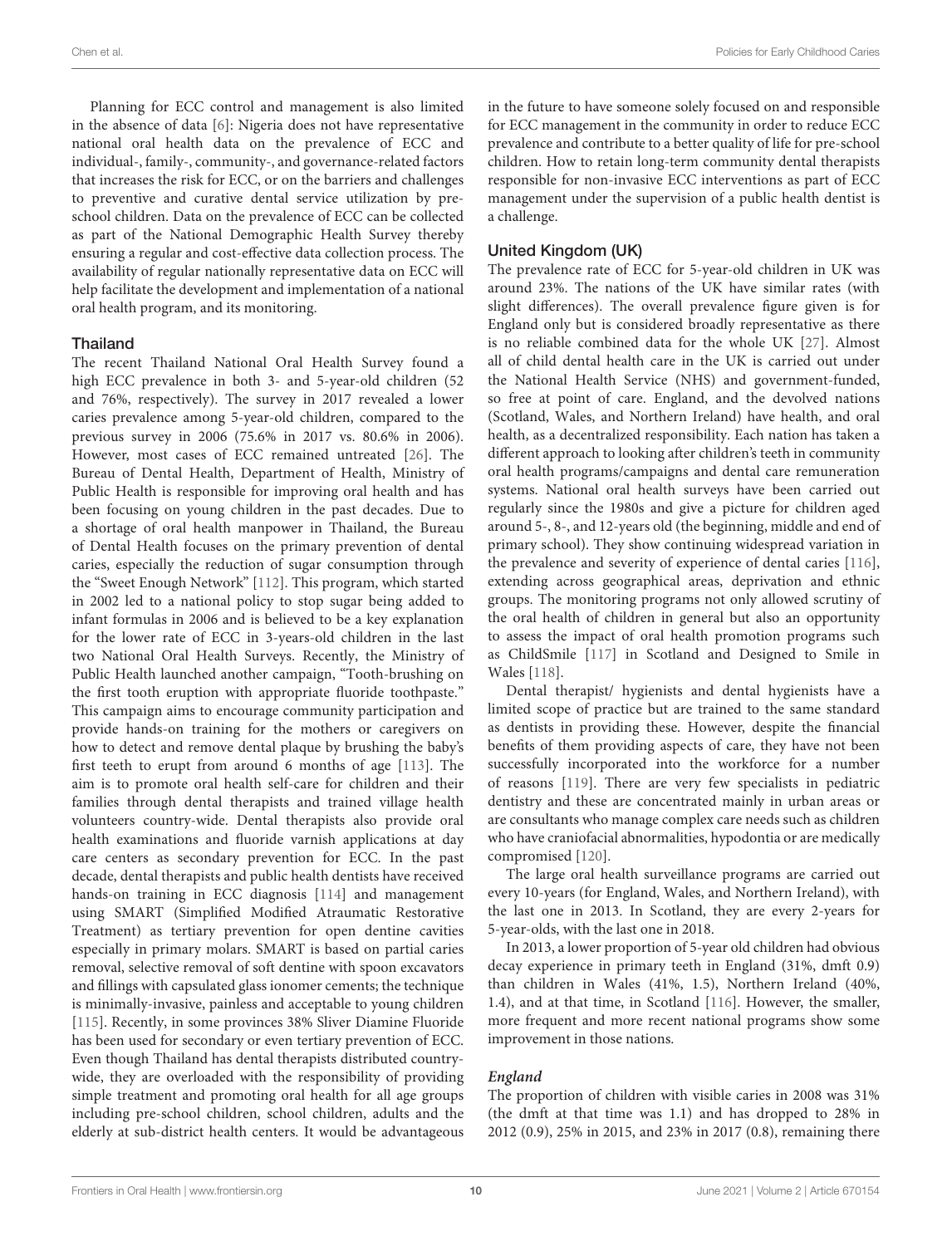Planning for ECC control and management is also limited in the absence of data [\[6\]](#page-12-5): Nigeria does not have representative national oral health data on the prevalence of ECC and individual-, family-, community-, and governance-related factors that increases the risk for ECC, or on the barriers and challenges to preventive and curative dental service utilization by preschool children. Data on the prevalence of ECC can be collected as part of the National Demographic Health Survey thereby ensuring a regular and cost-effective data collection process. The availability of regular nationally representative data on ECC will help facilitate the development and implementation of a national oral health program, and its monitoring.

#### Thailand

The recent Thailand National Oral Health Survey found a high ECC prevalence in both 3- and 5-year-old children (52 and 76%, respectively). The survey in 2017 revealed a lower caries prevalence among 5-year-old children, compared to the previous survey in 2006 (75.6% in 2017 vs. 80.6% in 2006). However, most cases of ECC remained untreated [\[26\]](#page-13-15). The Bureau of Dental Health, Department of Health, Ministry of Public Health is responsible for improving oral health and has been focusing on young children in the past decades. Due to a shortage of oral health manpower in Thailand, the Bureau of Dental Health focuses on the primary prevention of dental caries, especially the reduction of sugar consumption through the "Sweet Enough Network" [\[112\]](#page-15-15). This program, which started in 2002 led to a national policy to stop sugar being added to infant formulas in 2006 and is believed to be a key explanation for the lower rate of ECC in 3-years-old children in the last two National Oral Health Surveys. Recently, the Ministry of Public Health launched another campaign, "Tooth-brushing on the first tooth eruption with appropriate fluoride toothpaste." This campaign aims to encourage community participation and provide hands-on training for the mothers or caregivers on how to detect and remove dental plaque by brushing the baby's first teeth to erupt from around 6 months of age [\[113\]](#page-15-16). The aim is to promote oral health self-care for children and their families through dental therapists and trained village health volunteers country-wide. Dental therapists also provide oral health examinations and fluoride varnish applications at day care centers as secondary prevention for ECC. In the past decade, dental therapists and public health dentists have received hands-on training in ECC diagnosis [\[114\]](#page-15-17) and management using SMART (Simplified Modified Atraumatic Restorative Treatment) as tertiary prevention for open dentine cavities especially in primary molars. SMART is based on partial caries removal, selective removal of soft dentine with spoon excavators and fillings with capsulated glass ionomer cements; the technique is minimally-invasive, painless and acceptable to young children [\[115\]](#page-15-18). Recently, in some provinces 38% Sliver Diamine Fluoride has been used for secondary or even tertiary prevention of ECC. Even though Thailand has dental therapists distributed countrywide, they are overloaded with the responsibility of providing simple treatment and promoting oral health for all age groups including pre-school children, school children, adults and the elderly at sub-district health centers. It would be advantageous in the future to have someone solely focused on and responsible for ECC management in the community in order to reduce ECC prevalence and contribute to a better quality of life for pre-school children. How to retain long-term community dental therapists responsible for non-invasive ECC interventions as part of ECC management under the supervision of a public health dentist is a challenge.

#### United Kingdom (UK)

The prevalence rate of ECC for 5-year-old children in UK was around 23%. The nations of the UK have similar rates (with slight differences). The overall prevalence figure given is for England only but is considered broadly representative as there is no reliable combined data for the whole UK [\[27\]](#page-13-16). Almost all of child dental health care in the UK is carried out under the National Health Service (NHS) and government-funded, so free at point of care. England, and the devolved nations (Scotland, Wales, and Northern Ireland) have health, and oral health, as a decentralized responsibility. Each nation has taken a different approach to looking after children's teeth in community oral health programs/campaigns and dental care remuneration systems. National oral health surveys have been carried out regularly since the 1980s and give a picture for children aged around 5-, 8-, and 12-years old (the beginning, middle and end of primary school). They show continuing widespread variation in the prevalence and severity of experience of dental caries [\[116\]](#page-15-19), extending across geographical areas, deprivation and ethnic groups. The monitoring programs not only allowed scrutiny of the oral health of children in general but also an opportunity to assess the impact of oral health promotion programs such as ChildSmile [\[117\]](#page-15-20) in Scotland and Designed to Smile in Wales [\[118\]](#page-15-21).

Dental therapist/ hygienists and dental hygienists have a limited scope of practice but are trained to the same standard as dentists in providing these. However, despite the financial benefits of them providing aspects of care, they have not been successfully incorporated into the workforce for a number of reasons [\[119\]](#page-15-22). There are very few specialists in pediatric dentistry and these are concentrated mainly in urban areas or are consultants who manage complex care needs such as children who have craniofacial abnormalities, hypodontia or are medically compromised [\[120\]](#page-15-23).

The large oral health surveillance programs are carried out every 10-years (for England, Wales, and Northern Ireland), with the last one in 2013. In Scotland, they are every 2-years for 5-year-olds, with the last one in 2018.

In 2013, a lower proportion of 5-year old children had obvious decay experience in primary teeth in England (31%, dmft 0.9) than children in Wales (41%, 1.5), Northern Ireland (40%, 1.4), and at that time, in Scotland [\[116\]](#page-15-19). However, the smaller, more frequent and more recent national programs show some improvement in those nations.

#### **England**

The proportion of children with visible caries in 2008 was 31% (the dmft at that time was 1.1) and has dropped to 28% in 2012 (0.9), 25% in 2015, and 23% in 2017 (0.8), remaining there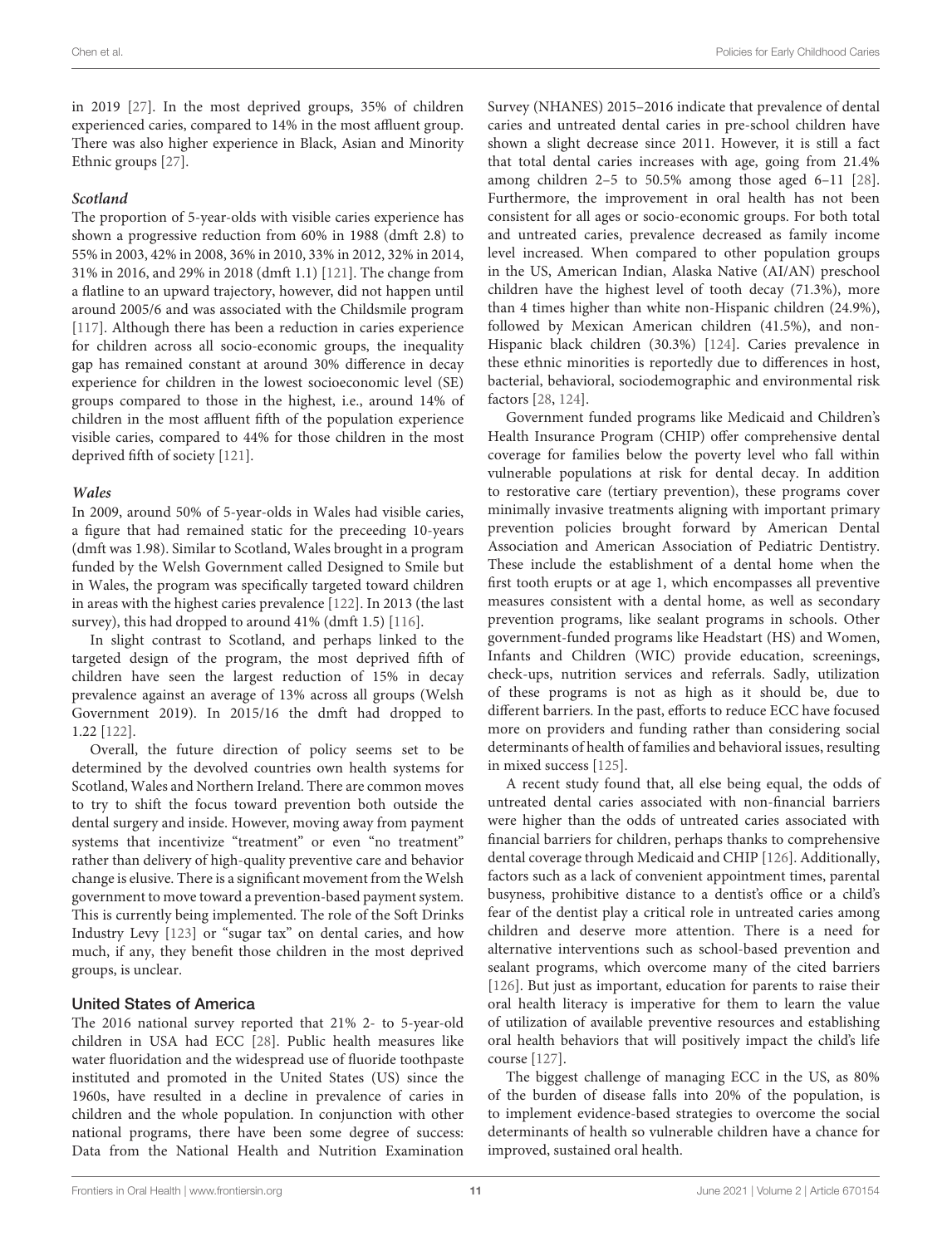in 2019 [\[27\]](#page-13-16). In the most deprived groups, 35% of children experienced caries, compared to 14% in the most affluent group. There was also higher experience in Black, Asian and Minority Ethnic groups [\[27\]](#page-13-16).

#### **Scotland**

The proportion of 5-year-olds with visible caries experience has shown a progressive reduction from 60% in 1988 (dmft 2.8) to 55% in 2003, 42% in 2008, 36% in 2010, 33% in 2012, 32% in 2014, 31% in 2016, and 29% in 2018 (dmft 1.1) [\[121\]](#page-15-24). The change from a flatline to an upward trajectory, however, did not happen until around 2005/6 and was associated with the Childsmile program [\[117\]](#page-15-20). Although there has been a reduction in caries experience for children across all socio-economic groups, the inequality gap has remained constant at around 30% difference in decay experience for children in the lowest socioeconomic level (SE) groups compared to those in the highest, i.e., around 14% of children in the most affluent fifth of the population experience visible caries, compared to 44% for those children in the most deprived fifth of society [\[121\]](#page-15-24).

#### **Wales**

In 2009, around 50% of 5-year-olds in Wales had visible caries, a figure that had remained static for the preceeding 10-years (dmft was 1.98). Similar to Scotland, Wales brought in a program funded by the Welsh Government called Designed to Smile but in Wales, the program was specifically targeted toward children in areas with the highest caries prevalence [\[122\]](#page-15-25). In 2013 (the last survey), this had dropped to around 41% (dmft 1.5) [\[116\]](#page-15-19).

In slight contrast to Scotland, and perhaps linked to the targeted design of the program, the most deprived fifth of children have seen the largest reduction of 15% in decay prevalence against an average of 13% across all groups (Welsh Government 2019). In 2015/16 the dmft had dropped to 1.22 [\[122\]](#page-15-25).

Overall, the future direction of policy seems set to be determined by the devolved countries own health systems for Scotland, Wales and Northern Ireland. There are common moves to try to shift the focus toward prevention both outside the dental surgery and inside. However, moving away from payment systems that incentivize "treatment" or even "no treatment" rather than delivery of high-quality preventive care and behavior change is elusive. There is a significant movement from the Welsh government to move toward a prevention-based payment system. This is currently being implemented. The role of the Soft Drinks Industry Levy [\[123\]](#page-15-26) or "sugar tax" on dental caries, and how much, if any, they benefit those children in the most deprived groups, is unclear.

#### United States of America

The 2016 national survey reported that 21% 2- to 5-year-old children in USA had ECC [\[28\]](#page-13-17). Public health measures like water fluoridation and the widespread use of fluoride toothpaste instituted and promoted in the United States (US) since the 1960s, have resulted in a decline in prevalence of caries in children and the whole population. In conjunction with other national programs, there have been some degree of success: Data from the National Health and Nutrition Examination Survey (NHANES) 2015–2016 indicate that prevalence of dental caries and untreated dental caries in pre-school children have shown a slight decrease since 2011. However, it is still a fact that total dental caries increases with age, going from 21.4% among children 2–5 to 50.5% among those aged 6–11 [\[28\]](#page-13-17). Furthermore, the improvement in oral health has not been consistent for all ages or socio-economic groups. For both total and untreated caries, prevalence decreased as family income level increased. When compared to other population groups in the US, American Indian, Alaska Native (AI/AN) preschool children have the highest level of tooth decay (71.3%), more than 4 times higher than white non-Hispanic children (24.9%), followed by Mexican American children (41.5%), and non-Hispanic black children (30.3%) [\[124\]](#page-15-27). Caries prevalence in these ethnic minorities is reportedly due to differences in host, bacterial, behavioral, sociodemographic and environmental risk factors [\[28,](#page-13-17) [124\]](#page-15-27).

Government funded programs like Medicaid and Children's Health Insurance Program (CHIP) offer comprehensive dental coverage for families below the poverty level who fall within vulnerable populations at risk for dental decay. In addition to restorative care (tertiary prevention), these programs cover minimally invasive treatments aligning with important primary prevention policies brought forward by American Dental Association and American Association of Pediatric Dentistry. These include the establishment of a dental home when the first tooth erupts or at age 1, which encompasses all preventive measures consistent with a dental home, as well as secondary prevention programs, like sealant programs in schools. Other government-funded programs like Headstart (HS) and Women, Infants and Children (WIC) provide education, screenings, check-ups, nutrition services and referrals. Sadly, utilization of these programs is not as high as it should be, due to different barriers. In the past, efforts to reduce ECC have focused more on providers and funding rather than considering social determinants of health of families and behavioral issues, resulting in mixed success [\[125\]](#page-15-28).

A recent study found that, all else being equal, the odds of untreated dental caries associated with non-financial barriers were higher than the odds of untreated caries associated with financial barriers for children, perhaps thanks to comprehensive dental coverage through Medicaid and CHIP [\[126\]](#page-15-29). Additionally, factors such as a lack of convenient appointment times, parental busyness, prohibitive distance to a dentist's office or a child's fear of the dentist play a critical role in untreated caries among children and deserve more attention. There is a need for alternative interventions such as school-based prevention and sealant programs, which overcome many of the cited barriers [\[126\]](#page-15-29). But just as important, education for parents to raise their oral health literacy is imperative for them to learn the value of utilization of available preventive resources and establishing oral health behaviors that will positively impact the child's life course [\[127\]](#page-15-30).

The biggest challenge of managing ECC in the US, as 80% of the burden of disease falls into 20% of the population, is to implement evidence-based strategies to overcome the social determinants of health so vulnerable children have a chance for improved, sustained oral health.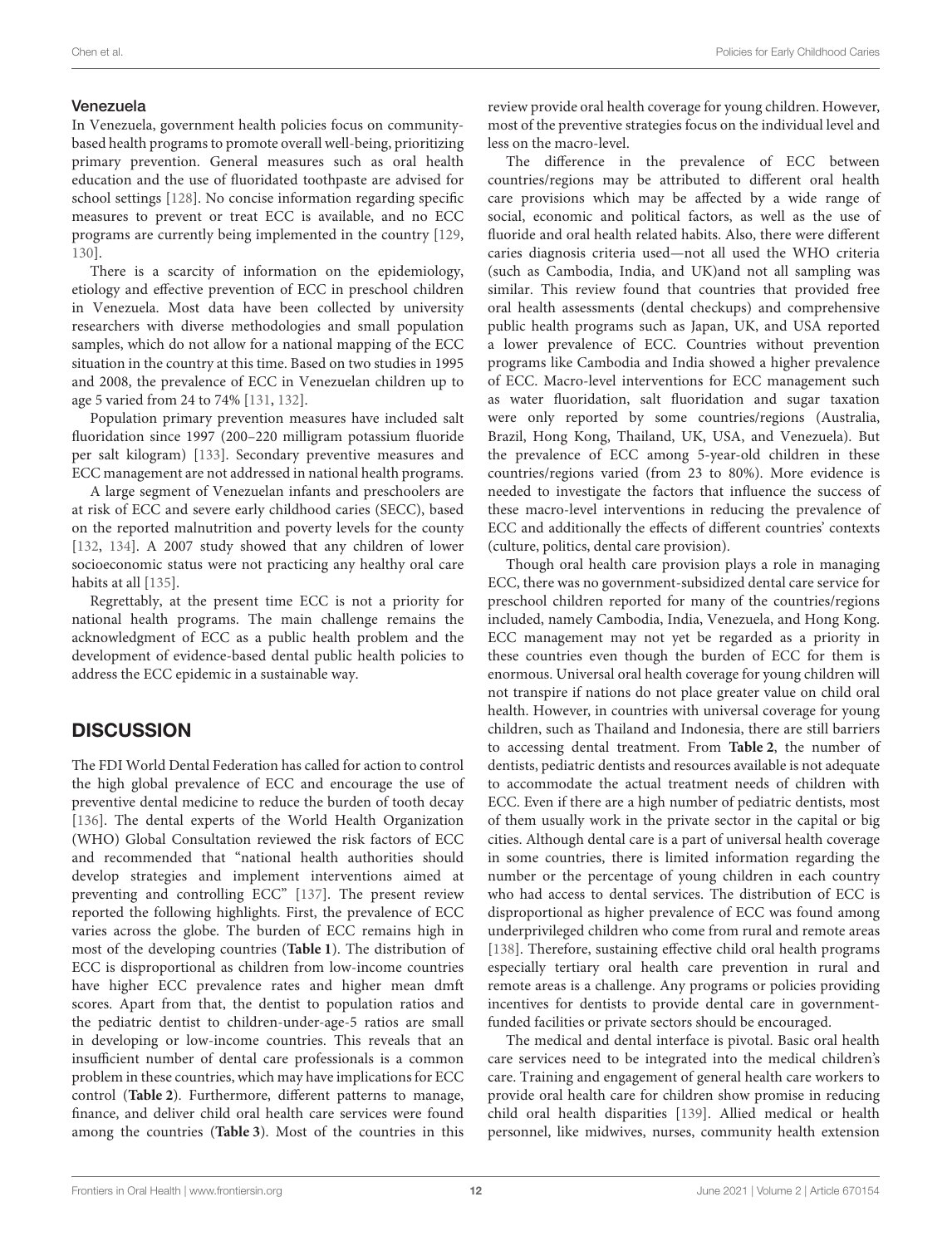## Venezuela

In Venezuela, government health policies focus on communitybased health programs to promote overall well-being, prioritizing primary prevention. General measures such as oral health education and the use of fluoridated toothpaste are advised for school settings [\[128\]](#page-15-31). No concise information regarding specific measures to prevent or treat ECC is available, and no ECC programs are currently being implemented in the country [\[129,](#page-15-32) [130\]](#page-15-33).

There is a scarcity of information on the epidemiology, etiology and effective prevention of ECC in preschool children in Venezuela. Most data have been collected by university researchers with diverse methodologies and small population samples, which do not allow for a national mapping of the ECC situation in the country at this time. Based on two studies in 1995 and 2008, the prevalence of ECC in Venezuelan children up to age 5 varied from 24 to 74% [\[131,](#page-15-34) [132\]](#page-15-35).

Population primary prevention measures have included salt fluoridation since 1997 (200–220 milligram potassium fluoride per salt kilogram) [\[133\]](#page-15-36). Secondary preventive measures and ECC management are not addressed in national health programs.

A large segment of Venezuelan infants and preschoolers are at risk of ECC and severe early childhood caries (SECC), based on the reported malnutrition and poverty levels for the county [\[132,](#page-15-35) [134\]](#page-15-37). A 2007 study showed that any children of lower socioeconomic status were not practicing any healthy oral care habits at all [\[135\]](#page-15-38).

Regrettably, at the present time ECC is not a priority for national health programs. The main challenge remains the acknowledgment of ECC as a public health problem and the development of evidence-based dental public health policies to address the ECC epidemic in a sustainable way.

# **DISCUSSION**

The FDI World Dental Federation has called for action to control the high global prevalence of ECC and encourage the use of preventive dental medicine to reduce the burden of tooth decay [\[136\]](#page-15-39). The dental experts of the World Health Organization (WHO) Global Consultation reviewed the risk factors of ECC and recommended that "national health authorities should develop strategies and implement interventions aimed at preventing and controlling ECC" [\[137\]](#page-15-40). The present review reported the following highlights. First, the prevalence of ECC varies across the globe. The burden of ECC remains high in most of the developing countries (**[Table 1](#page-2-0)**). The distribution of ECC is disproportional as children from low-income countries have higher ECC prevalence rates and higher mean dmft scores. Apart from that, the dentist to population ratios and the pediatric dentist to children-under-age-5 ratios are small in developing or low-income countries. This reveals that an insufficient number of dental care professionals is a common problem in these countries, which may have implications for ECC control (**[Table 2](#page-3-1)**). Furthermore, different patterns to manage, finance, and deliver child oral health care services were found among the countries (**[Table 3](#page-4-0)**). Most of the countries in this review provide oral health coverage for young children. However, most of the preventive strategies focus on the individual level and less on the macro-level.

The difference in the prevalence of ECC between countries/regions may be attributed to different oral health care provisions which may be affected by a wide range of social, economic and political factors, as well as the use of fluoride and oral health related habits. Also, there were different caries diagnosis criteria used—not all used the WHO criteria (such as Cambodia, India, and UK)and not all sampling was similar. This review found that countries that provided free oral health assessments (dental checkups) and comprehensive public health programs such as Japan, UK, and USA reported a lower prevalence of ECC. Countries without prevention programs like Cambodia and India showed a higher prevalence of ECC. Macro-level interventions for ECC management such as water fluoridation, salt fluoridation and sugar taxation were only reported by some countries/regions (Australia, Brazil, Hong Kong, Thailand, UK, USA, and Venezuela). But the prevalence of ECC among 5-year-old children in these countries/regions varied (from 23 to 80%). More evidence is needed to investigate the factors that influence the success of these macro-level interventions in reducing the prevalence of ECC and additionally the effects of different countries' contexts (culture, politics, dental care provision).

Though oral health care provision plays a role in managing ECC, there was no government-subsidized dental care service for preschool children reported for many of the countries/regions included, namely Cambodia, India, Venezuela, and Hong Kong. ECC management may not yet be regarded as a priority in these countries even though the burden of ECC for them is enormous. Universal oral health coverage for young children will not transpire if nations do not place greater value on child oral health. However, in countries with universal coverage for young children, such as Thailand and Indonesia, there are still barriers to accessing dental treatment. From **[Table 2](#page-3-1)**, the number of dentists, pediatric dentists and resources available is not adequate to accommodate the actual treatment needs of children with ECC. Even if there are a high number of pediatric dentists, most of them usually work in the private sector in the capital or big cities. Although dental care is a part of universal health coverage in some countries, there is limited information regarding the number or the percentage of young children in each country who had access to dental services. The distribution of ECC is disproportional as higher prevalence of ECC was found among underprivileged children who come from rural and remote areas [\[138\]](#page-15-41). Therefore, sustaining effective child oral health programs especially tertiary oral health care prevention in rural and remote areas is a challenge. Any programs or policies providing incentives for dentists to provide dental care in governmentfunded facilities or private sectors should be encouraged.

The medical and dental interface is pivotal. Basic oral health care services need to be integrated into the medical children's care. Training and engagement of general health care workers to provide oral health care for children show promise in reducing child oral health disparities [\[139\]](#page-16-0). Allied medical or health personnel, like midwives, nurses, community health extension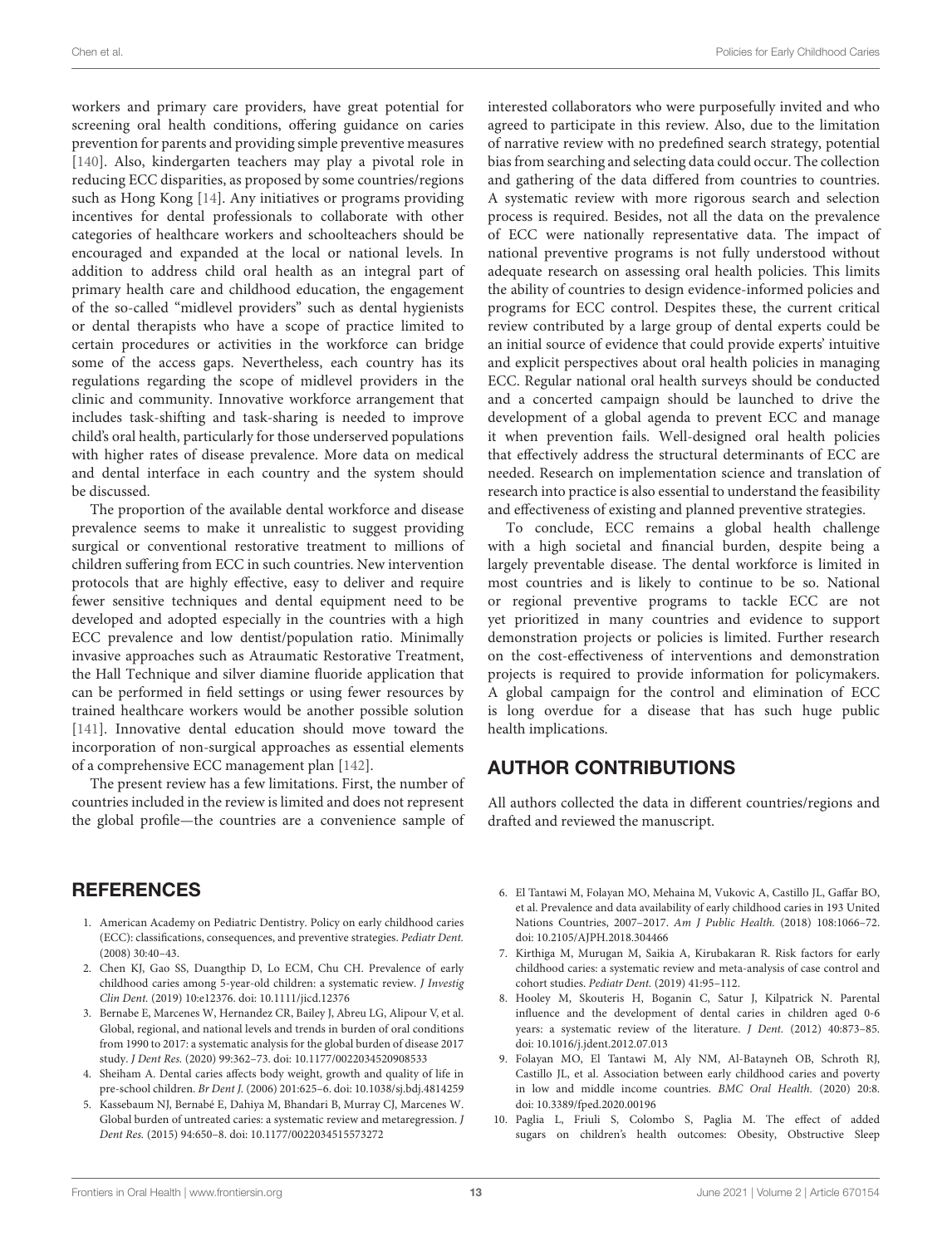workers and primary care providers, have great potential for screening oral health conditions, offering guidance on caries prevention for parents and providing simple preventive measures [\[140\]](#page-16-1). Also, kindergarten teachers may play a pivotal role in reducing ECC disparities, as proposed by some countries/regions such as Hong Kong [\[14\]](#page-13-3). Any initiatives or programs providing incentives for dental professionals to collaborate with other categories of healthcare workers and schoolteachers should be encouraged and expanded at the local or national levels. In addition to address child oral health as an integral part of primary health care and childhood education, the engagement of the so-called "midlevel providers" such as dental hygienists or dental therapists who have a scope of practice limited to certain procedures or activities in the workforce can bridge some of the access gaps. Nevertheless, each country has its regulations regarding the scope of midlevel providers in the clinic and community. Innovative workforce arrangement that includes task-shifting and task-sharing is needed to improve child's oral health, particularly for those underserved populations with higher rates of disease prevalence. More data on medical and dental interface in each country and the system should be discussed.

The proportion of the available dental workforce and disease prevalence seems to make it unrealistic to suggest providing surgical or conventional restorative treatment to millions of children suffering from ECC in such countries. New intervention protocols that are highly effective, easy to deliver and require fewer sensitive techniques and dental equipment need to be developed and adopted especially in the countries with a high ECC prevalence and low dentist/population ratio. Minimally invasive approaches such as Atraumatic Restorative Treatment, the Hall Technique and silver diamine fluoride application that can be performed in field settings or using fewer resources by trained healthcare workers would be another possible solution [\[141\]](#page-16-2). Innovative dental education should move toward the incorporation of non-surgical approaches as essential elements of a comprehensive ECC management plan [\[142\]](#page-16-3).

The present review has a few limitations. First, the number of countries included in the review is limited and does not represent the global profile—the countries are a convenience sample of

# **REFERENCES**

- <span id="page-12-0"></span>1. American Academy on Pediatric Dentistry. Policy on early childhood caries (ECC): classifications, consequences, and preventive strategies. Pediatr Dent. (2008) 30:40–43.
- <span id="page-12-1"></span>2. Chen KJ, Gao SS, Duangthip D, Lo ECM, Chu CH. Prevalence of early childhood caries among 5-year-old children: a systematic review. J Investig Clin Dent. (2019) 10:e12376. doi: [10.1111/jicd.12376](https://doi.org/10.1111/jicd.12376)
- <span id="page-12-2"></span>3. Bernabe E, Marcenes W, Hernandez CR, Bailey J, Abreu LG, Alipour V, et al. Global, regional, and national levels and trends in burden of oral conditions from 1990 to 2017: a systematic analysis for the global burden of disease 2017 study. J Dent Res. (2020) 99:362–73. doi: [10.1177/0022034520908533](https://doi.org/10.1177/0022034520908533)
- <span id="page-12-3"></span>4. Sheiham A. Dental caries affects body weight, growth and quality of life in pre-school children. Br Dent J. (2006) 201:625–6. doi: [10.1038/sj.bdj.4814259](https://doi.org/10.1038/sj.bdj.4814259)
- <span id="page-12-4"></span>5. Kassebaum NJ, Bernabé E, Dahiya M, Bhandari B, Murray CJ, Marcenes W. Global burden of untreated caries: a systematic review and metaregression. J Dent Res. (2015) 94:650–8. doi: [10.1177/0022034515573272](https://doi.org/10.1177/0022034515573272)

interested collaborators who were purposefully invited and who agreed to participate in this review. Also, due to the limitation of narrative review with no predefined search strategy, potential bias from searching and selecting data could occur. The collection and gathering of the data differed from countries to countries. A systematic review with more rigorous search and selection process is required. Besides, not all the data on the prevalence of ECC were nationally representative data. The impact of national preventive programs is not fully understood without adequate research on assessing oral health policies. This limits the ability of countries to design evidence-informed policies and programs for ECC control. Despites these, the current critical review contributed by a large group of dental experts could be an initial source of evidence that could provide experts' intuitive and explicit perspectives about oral health policies in managing ECC. Regular national oral health surveys should be conducted and a concerted campaign should be launched to drive the development of a global agenda to prevent ECC and manage it when prevention fails. Well-designed oral health policies that effectively address the structural determinants of ECC are needed. Research on implementation science and translation of research into practice is also essential to understand the feasibility and effectiveness of existing and planned preventive strategies.

To conclude, ECC remains a global health challenge with a high societal and financial burden, despite being a largely preventable disease. The dental workforce is limited in most countries and is likely to continue to be so. National or regional preventive programs to tackle ECC are not yet prioritized in many countries and evidence to support demonstration projects or policies is limited. Further research on the cost-effectiveness of interventions and demonstration projects is required to provide information for policymakers. A global campaign for the control and elimination of ECC is long overdue for a disease that has such huge public health implications.

# AUTHOR CONTRIBUTIONS

All authors collected the data in different countries/regions and drafted and reviewed the manuscript.

- <span id="page-12-5"></span>6. El Tantawi M, Folayan MO, Mehaina M, Vukovic A, Castillo JL, Gaffar BO, et al. Prevalence and data availability of early childhood caries in 193 United Nations Countries, 2007–2017. Am J Public Health. (2018) 108:1066–72. doi: [10.2105/AJPH.2018.304466](https://doi.org/10.2105/AJPH.2018.304466)
- <span id="page-12-6"></span>7. Kirthiga M, Murugan M, Saikia A, Kirubakaran R. Risk factors for early childhood caries: a systematic review and meta-analysis of case control and cohort studies. Pediatr Dent. (2019) 41:95–112.
- <span id="page-12-7"></span>8. Hooley M, Skouteris H, Boganin C, Satur J, Kilpatrick N. Parental influence and the development of dental caries in children aged 0-6 years: a systematic review of the literature. J Dent. (2012) 40:873–85. doi: [10.1016/j.jdent.2012.07.013](https://doi.org/10.1016/j.jdent.2012.07.013)
- <span id="page-12-8"></span>9. Folayan MO, El Tantawi M, Aly NM, Al-Batayneh OB, Schroth RJ, Castillo JL, et al. Association between early childhood caries and poverty in low and middle income countries. BMC Oral Health. (2020) 20:8. doi: [10.3389/fped.2020.00196](https://doi.org/10.3389/fped.2020.00196)
- <span id="page-12-9"></span>10. Paglia L, Friuli S, Colombo S, Paglia M. The effect of added sugars on children's health outcomes: Obesity, Obstructive Sleep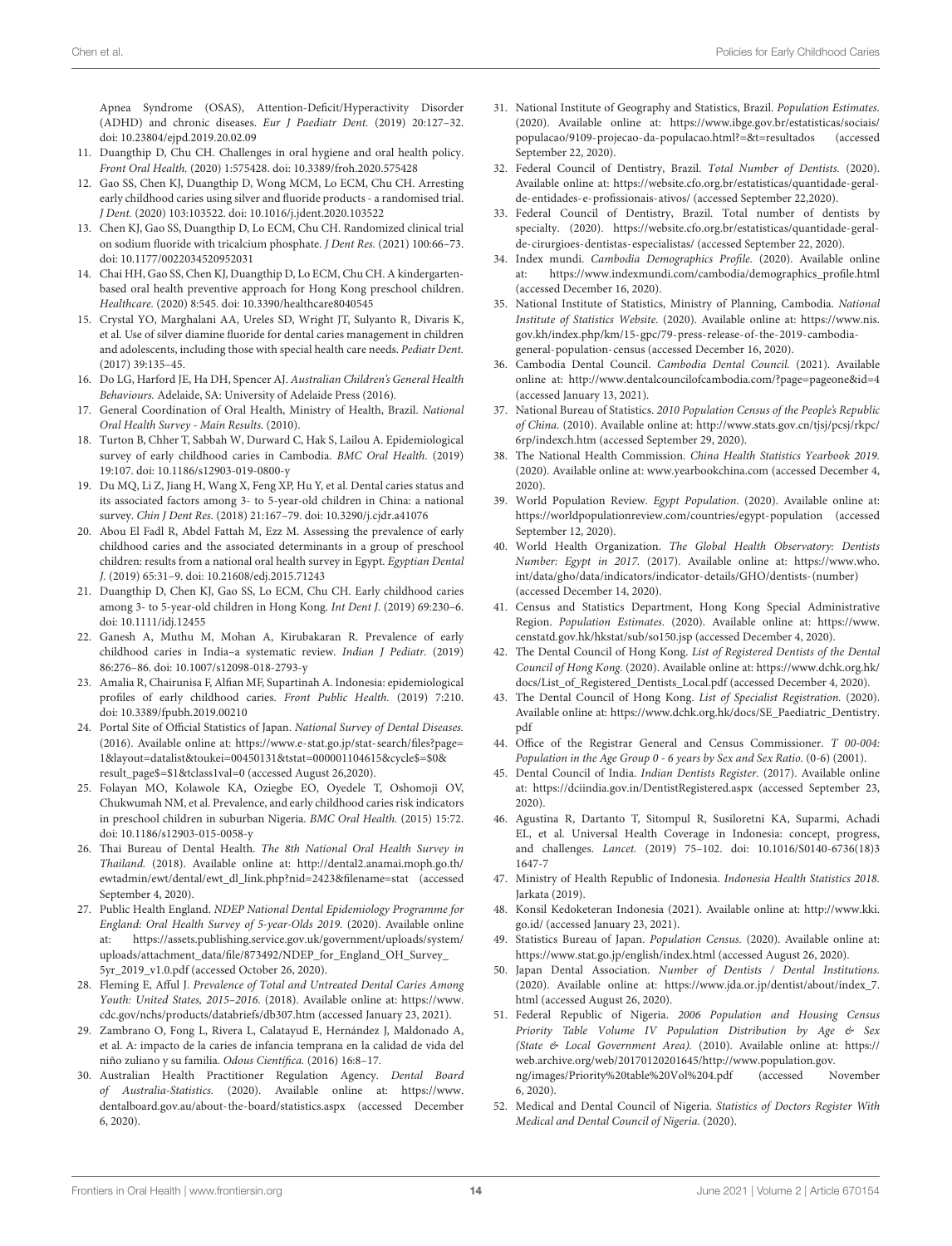Apnea Syndrome (OSAS), Attention-Deficit/Hyperactivity Disorder (ADHD) and chronic diseases. Eur J Paediatr Dent. (2019) 20:127–32. doi: [10.23804/ejpd.2019.20.02.09](https://doi.org/10.23804/ejpd.2019.20.02.09)

- <span id="page-13-0"></span>11. Duangthip D, Chu CH. Challenges in oral hygiene and oral health policy. Front Oral Health. (2020) 1:575428. doi: [10.3389/froh.2020.575428](https://doi.org/10.3389/froh.2020.575428)
- <span id="page-13-1"></span>12. Gao SS, Chen KJ, Duangthip D, Wong MCM, Lo ECM, Chu CH. Arresting early childhood caries using silver and fluoride products - a randomised trial. J Dent. (2020) 103:103522. doi: [10.1016/j.jdent.2020.103522](https://doi.org/10.1016/j.jdent.2020.103522)
- <span id="page-13-2"></span>13. Chen KJ, Gao SS, Duangthip D, Lo ECM, Chu CH. Randomized clinical trial on sodium fluoride with tricalcium phosphate. J Dent Res. (2021) 100:66–73. doi: [10.1177/0022034520952031](https://doi.org/10.1177/0022034520952031)
- <span id="page-13-3"></span>14. Chai HH, Gao SS, Chen KJ, Duangthip D, Lo ECM, Chu CH. A kindergartenbased oral health preventive approach for Hong Kong preschool children. Healthcare. (2020) 8:545. doi: [10.3390/healthcare8040545](https://doi.org/10.3390/healthcare8040545)
- <span id="page-13-4"></span>15. Crystal YO, Marghalani AA, Ureles SD, Wright JT, Sulyanto R, Divaris K, et al. Use of silver diamine fluoride for dental caries management in children and adolescents, including those with special health care needs. Pediatr Dent. (2017) 39:135–45.
- <span id="page-13-5"></span>16. Do LG, Harford JE, Ha DH, Spencer AJ. Australian Children's General Health Behaviours. Adelaide, SA: University of Adelaide Press (2016).
- <span id="page-13-6"></span>17. General Coordination of Oral Health, Ministry of Health, Brazil. National Oral Health Survey - Main Results. (2010).
- <span id="page-13-7"></span>18. Turton B, Chher T, Sabbah W, Durward C, Hak S, Lailou A. Epidemiological survey of early childhood caries in Cambodia. BMC Oral Health. (2019) 19:107. doi: [10.1186/s12903-019-0800-y](https://doi.org/10.1186/s12903-019-0800-y)
- <span id="page-13-8"></span>19. Du MQ, Li Z, Jiang H, Wang X, Feng XP, Hu Y, et al. Dental caries status and its associated factors among 3- to 5-year-old children in China: a national survey. Chin J Dent Res. (2018) 21:167–79. doi: [10.3290/j.cjdr.a41076](https://doi.org/10.3290/j.cjdr.a41076)
- <span id="page-13-9"></span>20. Abou El Fadl R, Abdel Fattah M, Ezz M. Assessing the prevalence of early childhood caries and the associated determinants in a group of preschool children: results from a national oral health survey in Egypt. Egyptian Dental J. (2019) 65:31–9. doi: [10.21608/edj.2015.71243](https://doi.org/10.21608/edj.2015.71243)
- <span id="page-13-10"></span>21. Duangthip D, Chen KJ, Gao SS, Lo ECM, Chu CH. Early childhood caries among 3- to 5-year-old children in Hong Kong. Int Dent J. (2019) 69:230–6. doi: [10.1111/idj.12455](https://doi.org/10.1111/idj.12455)
- <span id="page-13-11"></span>22. Ganesh A, Muthu M, Mohan A, Kirubakaran R. Prevalence of early childhood caries in India–a systematic review. Indian J Pediatr. (2019) 86:276–86. doi: [10.1007/s12098-018-2793-y](https://doi.org/10.1007/s12098-018-2793-y)
- <span id="page-13-12"></span>23. Amalia R, Chairunisa F, Alfian MF, Supartinah A. Indonesia: epidemiological profiles of early childhood caries. Front Public Health. (2019) 7:210. doi: [10.3389/fpubh.2019.00210](https://doi.org/10.3389/fpubh.2019.00210)
- <span id="page-13-13"></span>24. Portal Site of Official Statistics of Japan. National Survey of Dental Diseases. (2016). Available online at: [https://www.e-stat.go.jp/stat-search/files?page=](https://www.e-stat.go.jp/stat-search/files?page=1&layout=datalist&toukei=00450131&tstat=000001104615&cycle$=$0&result_page$=$1&tclass1val=0) [1&layout=datalist&toukei=00450131&tstat=000001104615&cycle\\$=\\$0&](https://www.e-stat.go.jp/stat-search/files?page=1&layout=datalist&toukei=00450131&tstat=000001104615&cycle$=$0&result_page$=$1&tclass1val=0) [result\\_page\\$=\\$1&tclass1val=0](https://www.e-stat.go.jp/stat-search/files?page=1&layout=datalist&toukei=00450131&tstat=000001104615&cycle$=$0&result_page$=$1&tclass1val=0) (accessed August 26,2020).
- <span id="page-13-14"></span>25. Folayan MO, Kolawole KA, Oziegbe EO, Oyedele T, Oshomoji OV, Chukwumah NM, et al. Prevalence, and early childhood caries risk indicators in preschool children in suburban Nigeria. BMC Oral Health. (2015) 15:72. doi: [10.1186/s12903-015-0058-y](https://doi.org/10.1186/s12903-015-0058-y)
- <span id="page-13-15"></span>26. Thai Bureau of Dental Health. The 8th National Oral Health Survey in Thailand. (2018). Available online at: [http://dental2.anamai.moph.go.th/](http://dental2.anamai.moph.go.th/ewtadmin/ewt/dental/ewt_dl_link.php?nid=2423&filename=stat) [ewtadmin/ewt/dental/ewt\\_dl\\_link.php?nid=2423&filename=stat](http://dental2.anamai.moph.go.th/ewtadmin/ewt/dental/ewt_dl_link.php?nid=2423&filename=stat) (accessed September 4, 2020).
- <span id="page-13-16"></span>27. Public Health England. NDEP National Dental Epidemiology Programme for England: Oral Health Survey of 5-year-Olds 2019. (2020). Available online at: [https://assets.publishing.service.gov.uk/government/uploads/system/](https://assets.publishing.service.gov.uk/government/uploads/system/uploads/attachment_data/file/873492/NDEP_for_England_OH_Survey_5yr_2019_v1.0.pdf) [uploads/attachment\\_data/file/873492/NDEP\\_for\\_England\\_OH\\_Survey\\_](https://assets.publishing.service.gov.uk/government/uploads/system/uploads/attachment_data/file/873492/NDEP_for_England_OH_Survey_5yr_2019_v1.0.pdf) [5yr\\_2019\\_v1.0.pdf](https://assets.publishing.service.gov.uk/government/uploads/system/uploads/attachment_data/file/873492/NDEP_for_England_OH_Survey_5yr_2019_v1.0.pdf) (accessed October 26, 2020).
- <span id="page-13-17"></span>28. Fleming E, Afful J. Prevalence of Total and Untreated Dental Caries Among Youth: United States, 2015–2016. (2018). Available online at: [https://www.](https://www.cdc.gov/nchs/products/databriefs/db307.htm) [cdc.gov/nchs/products/databriefs/db307.htm](https://www.cdc.gov/nchs/products/databriefs/db307.htm) (accessed January 23, 2021).
- <span id="page-13-18"></span>29. Zambrano O, Fong L, Rivera L, Calatayud E, Hernández J, Maldonado A, et al. A: impacto de la caries de infancia temprana en la calidad de vida del niño zuliano y su familia. Odous Científica. (2016) 16:8–17.
- <span id="page-13-19"></span>30. Australian Health Practitioner Regulation Agency. Dental Board of Australia-Statistics. (2020). Available online at: [https://www.](https://www.dentalboard.gov.au/about-the-board/statistics.aspx) [dentalboard.gov.au/about-the-board/statistics.aspx](https://www.dentalboard.gov.au/about-the-board/statistics.aspx) (accessed December 6, 2020).
- <span id="page-13-20"></span>31. National Institute of Geography and Statistics, Brazil. Population Estimates. (2020). Available online at: [https://www.ibge.gov.br/estatisticas/sociais/](https://www.ibge.gov.br/estatisticas/sociais/populacao/9109-projecao-da-populacao.html?=&t=resultados) [populacao/9109-projecao-da-populacao.html?=&t=resultados](https://www.ibge.gov.br/estatisticas/sociais/populacao/9109-projecao-da-populacao.html?=&t=resultados) (accessed September 22, 2020).
- <span id="page-13-21"></span>32. Federal Council of Dentistry, Brazil. Total Number of Dentists. (2020). Available online at: [https://website.cfo.org.br/estatisticas/quantidade-geral](https://website.cfo.org.br/estatisticas/quantidade-geral-de-entidades-e-profissionais-ativos/)[de-entidades-e-profissionais-ativos/](https://website.cfo.org.br/estatisticas/quantidade-geral-de-entidades-e-profissionais-ativos/) (accessed September 22,2020).
- <span id="page-13-22"></span>33. Federal Council of Dentistry, Brazil. Total number of dentists by specialty. (2020). [https://website.cfo.org.br/estatisticas/quantidade-geral](https://website.cfo.org.br/estatisticas/quantidade-geral-de-cirurgioes-dentistas-especialistas/)[de-cirurgioes-dentistas-especialistas/](https://website.cfo.org.br/estatisticas/quantidade-geral-de-cirurgioes-dentistas-especialistas/) (accessed September 22, 2020).
- <span id="page-13-23"></span>34. Index mundi. Cambodia Demographics Profile. (2020). Available online at: [https://www.indexmundi.com/cambodia/demographics\\_profile.html](https://www.indexmundi.com/cambodia/demographics_profile.html) (accessed December 16, 2020).
- <span id="page-13-24"></span>35. National Institute of Statistics, Ministry of Planning, Cambodia. National Institute of Statistics Website. (2020). Available online at: [https://www.nis.](https://www.nis.gov.kh/index.php/km/15-gpc/79-press-release-of-the-2019-cambodia-general-population-census) [gov.kh/index.php/km/15-gpc/79-press-release-of-the-2019-cambodia](https://www.nis.gov.kh/index.php/km/15-gpc/79-press-release-of-the-2019-cambodia-general-population-census)[general-population-census](https://www.nis.gov.kh/index.php/km/15-gpc/79-press-release-of-the-2019-cambodia-general-population-census) (accessed December 16, 2020).
- <span id="page-13-25"></span>36. Cambodia Dental Council. Cambodia Dental Council. (2021). Available online at:<http://www.dentalcouncilofcambodia.com/?page=pageone&id=4> (accessed January 13, 2021).
- <span id="page-13-26"></span>37. National Bureau of Statistics. 2010 Population Census of the People's Republic of China. (2010). Available online at: [http://www.stats.gov.cn/tjsj/pcsj/rkpc/](http://www.stats.gov.cn/tjsj/pcsj/rkpc/6rp/indexch.htm) [6rp/indexch.htm](http://www.stats.gov.cn/tjsj/pcsj/rkpc/6rp/indexch.htm) (accessed September 29, 2020).
- <span id="page-13-27"></span>38. The National Health Commission. China Health Statistics Yearbook 2019. (2020). Available online at: [www.yearbookchina.com](http://www.yearbookchina.com) (accessed December 4, 2020).
- <span id="page-13-28"></span>39. World Population Review. Egypt Population. (2020). Available online at: <https://worldpopulationreview.com/countries/egypt-population> (accessed September 12, 2020).
- <span id="page-13-29"></span>40. World Health Organization. The Global Health Observatory: Dentists Number: Egypt in 2017. (2017). Available online at: [https://www.who.](https://www.who.int/data/gho/data/indicators/indicator-details/GHO/dentists-(number)) [int/data/gho/data/indicators/indicator-details/GHO/dentists-\(number\)](https://www.who.int/data/gho/data/indicators/indicator-details/GHO/dentists-(number)) (accessed December 14, 2020).
- <span id="page-13-30"></span>41. Census and Statistics Department, Hong Kong Special Administrative Region. Population Estimates. (2020). Available online at: [https://www.](https://www.censtatd.gov.hk/hkstat/sub/so150.jsp) [censtatd.gov.hk/hkstat/sub/so150.jsp](https://www.censtatd.gov.hk/hkstat/sub/so150.jsp) (accessed December 4, 2020).
- <span id="page-13-31"></span>42. The Dental Council of Hong Kong. List of Registered Dentists of the Dental Council of Hong Kong. (2020). Available online at: [https://www.dchk.org.hk/](https://www.dchk.org.hk/docs/List_of_Registered_Dentists_Local.pdf) [docs/List\\_of\\_Registered\\_Dentists\\_Local.pdf](https://www.dchk.org.hk/docs/List_of_Registered_Dentists_Local.pdf) (accessed December 4, 2020).
- <span id="page-13-32"></span>43. The Dental Council of Hong Kong. List of Specialist Registration. (2020). Available online at: [https://www.dchk.org.hk/docs/SE\\_Paediatric\\_Dentistry.](https://www.dchk.org.hk/docs/SE_Paediatric_Dentistry.pdf) [pdf](https://www.dchk.org.hk/docs/SE_Paediatric_Dentistry.pdf)
- <span id="page-13-33"></span>44. Office of the Registrar General and Census Commissioner. T 00-004: Population in the Age Group 0 - 6 years by Sex and Sex Ratio. (0-6) (2001).
- <span id="page-13-34"></span>45. Dental Council of India. Indian Dentists Register. (2017). Available online at:<https://dciindia.gov.in/DentistRegistered.aspx> (accessed September 23, 2020).
- <span id="page-13-35"></span>46. Agustina R, Dartanto T, Sitompul R, Susiloretni KA, Suparmi, Achadi EL, et al. Universal Health Coverage in Indonesia: concept, progress, and challenges. Lancet. [\(2019\) 75–102. doi: 10.1016/S0140-6736\(18\)3](https://doi.org/10.1016/S0140-6736(18)31647-7) 1647-7
- <span id="page-13-36"></span>47. Ministry of Health Republic of Indonesia. Indonesia Health Statistics 2018. Jarkata (2019).
- <span id="page-13-37"></span>48. Konsil Kedoketeran Indonesia (2021). Available online at: [http://www.kki.](http://www.kki.go.id/) [go.id/](http://www.kki.go.id/) (accessed January 23, 2021).
- <span id="page-13-38"></span>49. Statistics Bureau of Japan. Population Census. (2020). Available online at: <https://www.stat.go.jp/english/index.html> (accessed August 26, 2020).
- <span id="page-13-39"></span>50. Japan Dental Association. Number of Dentists / Dental Institutions. (2020). Available online at: [https://www.jda.or.jp/dentist/about/index\\_7.](https://www.jda.or.jp/dentist/about/index_7.html) [html](https://www.jda.or.jp/dentist/about/index_7.html) (accessed August 26, 2020).
- <span id="page-13-40"></span>51. Federal Republic of Nigeria. 2006 Population and Housing Census Priority Table Volume IV Population Distribution by Age & Sex (State & Local Government Area). (2010). Available online at: [https://](https://web.archive.org/web/20170120201645/http://www.population.gov.ng/images/Priority%20table%20Vol%204.pdf) [web.archive.org/web/20170120201645/http://www.population.gov.](https://web.archive.org/web/20170120201645/http://www.population.gov.ng/images/Priority%20table%20Vol%204.pdf) [ng/images/Priority%20table%20Vol%204.pdf](https://web.archive.org/web/20170120201645/http://www.population.gov.ng/images/Priority%20table%20Vol%204.pdf) (accessed November 6, 2020).
- <span id="page-13-41"></span>52. Medical and Dental Council of Nigeria. Statistics of Doctors Register With Medical and Dental Council of Nigeria. (2020).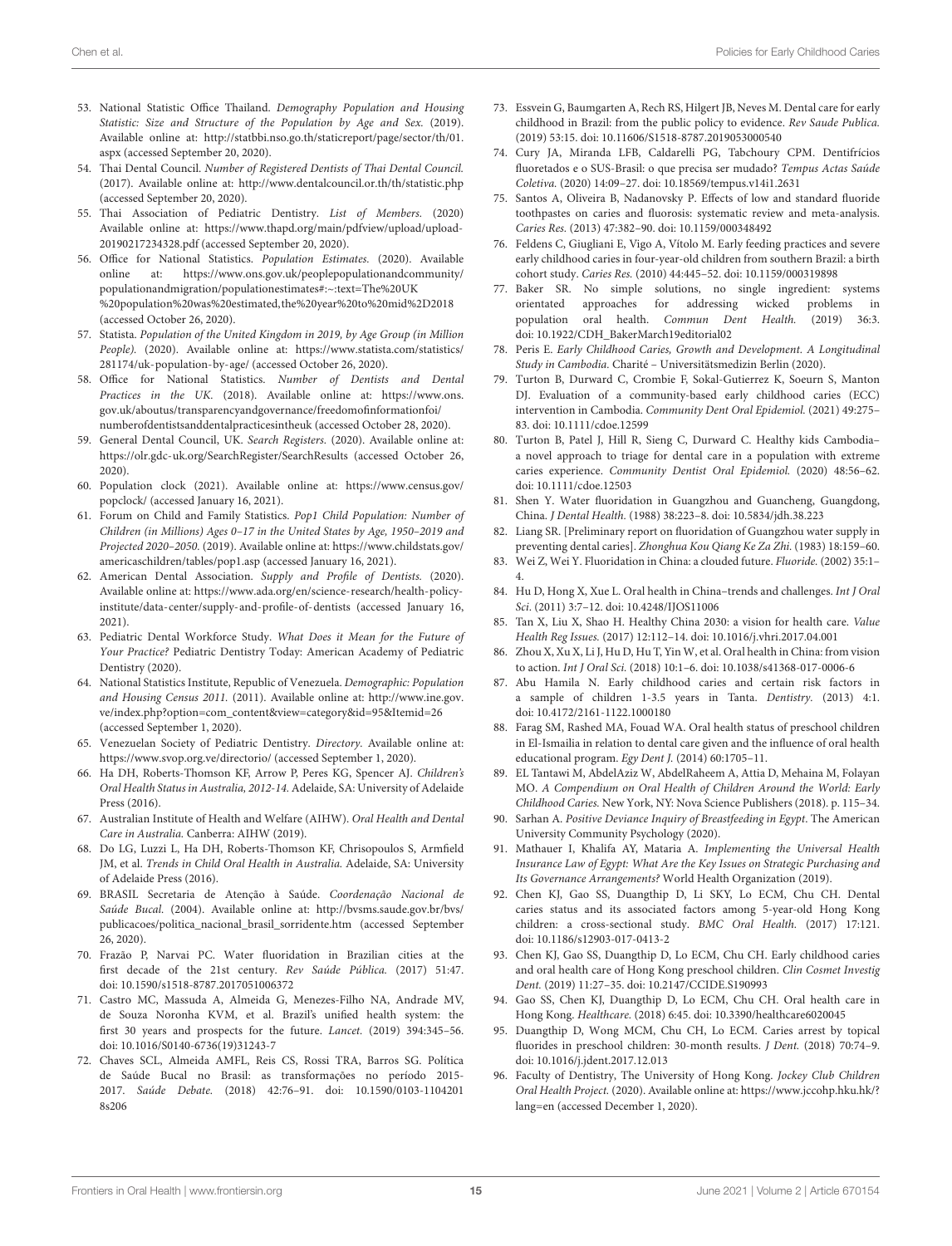- <span id="page-14-4"></span>53. National Statistic Office Thailand. Demography Population and Housing Statistic: Size and Structure of the Population by Age and Sex. (2019). Available online at: [http://statbbi.nso.go.th/staticreport/page/sector/th/01.](http://statbbi.nso.go.th/staticreport/page/sector/th/01.aspx) [aspx](http://statbbi.nso.go.th/staticreport/page/sector/th/01.aspx) (accessed September 20, 2020).
- <span id="page-14-5"></span>54. Thai Dental Council. Number of Registered Dentists of Thai Dental Council. (2017). Available online at:<http://www.dentalcouncil.or.th/th/statistic.php> (accessed September 20, 2020).
- <span id="page-14-6"></span>55. Thai Association of Pediatric Dentistry. List of Members. (2020) Available online at: [https://www.thapd.org/main/pdfview/upload/upload-](https://www.thapd.org/main/pdfview/upload/upload-20190217234328.pdf)[20190217234328.pdf](https://www.thapd.org/main/pdfview/upload/upload-20190217234328.pdf) (accessed September 20, 2020).
- <span id="page-14-7"></span>56. Office for National Statistics. Population Estimates. (2020). Available online at: [https://www.ons.gov.uk/peoplepopulationandcommunity/](https://www.ons.gov.uk/peoplepopulationandcommunity/populationandmigration/populationestimates#:~:text=The%20UK%20population%20was%20estimated,the%20year%20to%20mid%2D2018) [populationandmigration/populationestimates#:~:text=The%20UK](https://www.ons.gov.uk/peoplepopulationandcommunity/populationandmigration/populationestimates#:~:text=The%20UK%20population%20was%20estimated,the%20year%20to%20mid%2D2018) [%20population%20was%20estimated,the%20year%20to%20mid%2D2018](https://www.ons.gov.uk/peoplepopulationandcommunity/populationandmigration/populationestimates#:~:text=The%20UK%20population%20was%20estimated,the%20year%20to%20mid%2D2018) (accessed October 26, 2020).
- <span id="page-14-8"></span>57. Statista. Population of the United Kingdom in 2019, by Age Group (in Million People). (2020). Available online at: [https://www.statista.com/statistics/](https://www.statista.com/statistics/281174/uk-population-by-age/) [281174/uk-population-by-age/](https://www.statista.com/statistics/281174/uk-population-by-age/) (accessed October 26, 2020).
- <span id="page-14-9"></span>58. Office for National Statistics. Number of Dentists and Dental Practices in the UK. (2018). Available online at: [https://www.ons.](https://www.ons.gov.uk/aboutus/transparencyandgovernance/freedomofinformationfoi/numberofdentistsanddentalpracticesintheuk) [gov.uk/aboutus/transparencyandgovernance/freedomofinformationfoi/](https://www.ons.gov.uk/aboutus/transparencyandgovernance/freedomofinformationfoi/numberofdentistsanddentalpracticesintheuk) [numberofdentistsanddentalpracticesintheuk](https://www.ons.gov.uk/aboutus/transparencyandgovernance/freedomofinformationfoi/numberofdentistsanddentalpracticesintheuk) (accessed October 28, 2020).
- <span id="page-14-10"></span>59. General Dental Council, UK. Search Registers. (2020). Available online at: <https://olr.gdc-uk.org/SearchRegister/SearchResults> (accessed October 26, 2020).
- <span id="page-14-11"></span>60. Population clock (2021). Available online at: [https://www.census.gov/](https://www.census.gov/popclock/) [popclock/](https://www.census.gov/popclock/) (accessed January 16, 2021).
- <span id="page-14-12"></span>61. Forum on Child and Family Statistics. Pop1 Child Population: Number of Children (in Millions) Ages 0–17 in the United States by Age, 1950–2019 and Projected 2020–2050. (2019). Available online at: [https://www.childstats.gov/](https://www.childstats.gov/americaschildren/tables/pop1.asp) [americaschildren/tables/pop1.asp](https://www.childstats.gov/americaschildren/tables/pop1.asp) (accessed January 16, 2021).
- <span id="page-14-13"></span>62. American Dental Association. Supply and Profile of Dentists. (2020). Available online at: [https://www.ada.org/en/science-research/health-policy](https://www.ada.org/en/science-research/health-policy-institute/data-center/supply-and-profile-of-dentists)[institute/data-center/supply-and-profile-of-dentists](https://www.ada.org/en/science-research/health-policy-institute/data-center/supply-and-profile-of-dentists) (accessed January 16, 2021).
- <span id="page-14-14"></span>63. Pediatric Dental Workforce Study. What Does it Mean for the Future of Your Practice? Pediatric Dentistry Today: American Academy of Pediatric Dentistry (2020).
- <span id="page-14-15"></span>64. National Statistics Institute, Republic of Venezuela. Demographic: Population and Housing Census 2011. (2011). Available online at: [http://www.ine.gov.](http://www.ine.gov.ve/index.php?option=com_content&view=category&id=95&Itemid=26) [ve/index.php?option=com\\_content&view=category&id=95&Itemid=26](http://www.ine.gov.ve/index.php?option=com_content&view=category&id=95&Itemid=26) (accessed September 1, 2020).
- <span id="page-14-16"></span>65. Venezuelan Society of Pediatric Dentistry. Directory. Available online at: <https://www.svop.org.ve/directorio/> (accessed September 1, 2020).
- <span id="page-14-0"></span>66. Ha DH, Roberts-Thomson KF, Arrow P, Peres KG, Spencer AJ. Children's Oral Health Status in Australia, 2012-14. Adelaide, SA: University of Adelaide Press (2016).
- <span id="page-14-1"></span>67. Australian Institute of Health and Welfare (AIHW). Oral Health and Dental Care in Australia. Canberra: AIHW (2019).
- <span id="page-14-2"></span>68. Do LG, Luzzi L, Ha DH, Roberts-Thomson KF, Chrisopoulos S, Armfield JM, et al. Trends in Child Oral Health in Australia. Adelaide, SA: University of Adelaide Press (2016).
- <span id="page-14-3"></span>69. BRASIL Secretaria de Atenção à Saúde. Coordenação Nacional de Saúde Bucal. (2004). Available online at: [http://bvsms.saude.gov.br/bvs/](http://bvsms.saude.gov.br/bvs/publicacoes/politica_nacional_brasil_sorridente.htm) [publicacoes/politica\\_nacional\\_brasil\\_sorridente.htm](http://bvsms.saude.gov.br/bvs/publicacoes/politica_nacional_brasil_sorridente.htm) (accessed September 26, 2020).
- <span id="page-14-17"></span>70. Frazão P, Narvai PC. Water fluoridation in Brazilian cities at the first decade of the 21st century. Rev Saúde Pública. (2017) 51:47. doi: [10.1590/s1518-8787.2017051006372](https://doi.org/10.1590/s1518-8787.2017051006372)
- <span id="page-14-18"></span>71. Castro MC, Massuda A, Almeida G, Menezes-Filho NA, Andrade MV, de Souza Noronha KVM, et al. Brazil's unified health system: the first 30 years and prospects for the future. Lancet. (2019) 394:345–56. doi: [10.1016/S0140-6736\(19\)31243-7](https://doi.org/10.1016/S0140-6736(19)31243-7)
- <span id="page-14-19"></span>72. Chaves SCL, Almeida AMFL, Reis CS, Rossi TRA, Barros SG. Política de Saúde Bucal no Brasil: as transformações no período 2015- 2017. Saúde Debate. [\(2018\) 42:76–91. doi: 10.1590/0103-1104201](https://doi.org/10.1590/0103-11042018s206) 8s206
- <span id="page-14-20"></span>73. Essvein G, Baumgarten A, Rech RS, Hilgert JB, Neves M. Dental care for early childhood in Brazil: from the public policy to evidence. Rev Saude Publica. (2019) 53:15. doi: [10.11606/S1518-8787.2019053000540](https://doi.org/10.11606/S1518-8787.2019053000540)
- <span id="page-14-21"></span>74. Cury JA, Miranda LFB, Caldarelli PG, Tabchoury CPM. Dentifrícios fluoretados e o SUS-Brasil: o que precisa ser mudado? Tempus Actas Saúde Coletiva. (2020) 14:09–27. doi: [10.18569/tempus.v14i1.2631](https://doi.org/10.18569/tempus.v14i1.2631)
- <span id="page-14-22"></span>75. Santos A, Oliveira B, Nadanovsky P. Effects of low and standard fluoride toothpastes on caries and fluorosis: systematic review and meta-analysis. Caries Res. (2013) 47:382–90. doi: [10.1159/000348492](https://doi.org/10.1159/000348492)
- <span id="page-14-23"></span>76. Feldens C, Giugliani E, Vigo A, Vítolo M. Early feeding practices and severe early childhood caries in four-year-old children from southern Brazil: a birth cohort study. Caries Res. (2010) 44:445–52. doi: [10.1159/000319898](https://doi.org/10.1159/000319898)
- <span id="page-14-24"></span>77. Baker SR. No simple solutions, no single ingredient: systems orientated approaches for addressing wicked problems in population oral health. Commun Dent Health. (2019) 36:3. doi: [10.1922/CDH\\_BakerMarch19editorial02](https://doi.org/10.1922/CDH_BakerMarch19editorial02)
- <span id="page-14-25"></span>78. Peris E. Early Childhood Caries, Growth and Development. A Longitudinal Study in Cambodia. Charité – Universitätsmedizin Berlin (2020).
- <span id="page-14-26"></span>79. Turton B, Durward C, Crombie F, Sokal-Gutierrez K, Soeurn S, Manton DJ. Evaluation of a community-based early childhood caries (ECC) intervention in Cambodia. Community Dent Oral Epidemiol. (2021) 49:275– 83. doi: [10.1111/cdoe.12599](https://doi.org/10.1111/cdoe.12599)
- <span id="page-14-27"></span>80. Turton B, Patel J, Hill R, Sieng C, Durward C. Healthy kids Cambodia– a novel approach to triage for dental care in a population with extreme caries experience. Community Dentist Oral Epidemiol. (2020) 48:56–62. doi: [10.1111/cdoe.12503](https://doi.org/10.1111/cdoe.12503)
- <span id="page-14-28"></span>81. Shen Y. Water fluoridation in Guangzhou and Guancheng, Guangdong, China. J Dental Health. (1988) 38:223–8. doi: [10.5834/jdh.38.223](https://doi.org/10.5834/jdh.38.223)
- <span id="page-14-29"></span>82. Liang SR. [Preliminary report on fluoridation of Guangzhou water supply in preventing dental caries]. Zhonghua Kou Qiang Ke Za Zhi. (1983) 18:159–60.
- <span id="page-14-30"></span>83. Wei Z, Wei Y. Fluoridation in China: a clouded future. Fluoride. (2002) 35:1– 4.
- <span id="page-14-31"></span>84. Hu D, Hong X, Xue L. Oral health in China–trends and challenges. Int J Oral Sci. (2011) 3:7–12. doi: [10.4248/IJOS11006](https://doi.org/10.4248/IJOS11006)
- <span id="page-14-32"></span>85. Tan X, Liu X, Shao H. Healthy China 2030: a vision for health care. Value Health Reg Issues. (2017) 12:112–14. doi: [10.1016/j.vhri.2017.04.001](https://doi.org/10.1016/j.vhri.2017.04.001)
- <span id="page-14-33"></span>86. Zhou X, Xu X, Li J, Hu D, Hu T, Yin W, et al. Oral health in China: from vision to action. Int J Oral Sci. (2018) 10:1–6. doi: [10.1038/s41368-017-0006-6](https://doi.org/10.1038/s41368-017-0006-6)
- <span id="page-14-34"></span>87. Abu Hamila N. Early childhood caries and certain risk factors in a sample of children 1-3.5 years in Tanta. Dentistry. (2013) 4:1. doi: [10.4172/2161-1122.1000180](https://doi.org/10.4172/2161-1122.1000180)
- <span id="page-14-35"></span>88. Farag SM, Rashed MA, Fouad WA. Oral health status of preschool children in El-Ismailia in relation to dental care given and the influence of oral health educational program. Egy Dent J. (2014) 60:1705–11.
- <span id="page-14-36"></span>89. EL Tantawi M, AbdelAziz W, AbdelRaheem A, Attia D, Mehaina M, Folayan MO. A Compendium on Oral Health of Children Around the World: Early Childhood Caries. New York, NY: Nova Science Publishers (2018). p. 115–34.
- <span id="page-14-37"></span>90. Sarhan A. Positive Deviance Inquiry of Breastfeeding in Egypt. The American University Community Psychology (2020).
- <span id="page-14-38"></span>91. Mathauer I, Khalifa AY, Mataria A. Implementing the Universal Health Insurance Law of Egypt: What Are the Key Issues on Strategic Purchasing and Its Governance Arrangements? World Health Organization (2019).
- <span id="page-14-39"></span>92. Chen KJ, Gao SS, Duangthip D, Li SKY, Lo ECM, Chu CH. Dental caries status and its associated factors among 5-year-old Hong Kong children: a cross-sectional study. BMC Oral Health. (2017) 17:121. doi: [10.1186/s12903-017-0413-2](https://doi.org/10.1186/s12903-017-0413-2)
- <span id="page-14-40"></span>93. Chen KJ, Gao SS, Duangthip D, Lo ECM, Chu CH. Early childhood caries and oral health care of Hong Kong preschool children. Clin Cosmet Investig Dent. (2019) 11:27–35. doi: [10.2147/CCIDE.S190993](https://doi.org/10.2147/CCIDE.S190993)
- <span id="page-14-41"></span>94. Gao SS, Chen KJ, Duangthip D, Lo ECM, Chu CH. Oral health care in Hong Kong. Healthcare. (2018) 6:45. doi: [10.3390/healthcare6020045](https://doi.org/10.3390/healthcare6020045)
- <span id="page-14-42"></span>95. Duangthip D, Wong MCM, Chu CH, Lo ECM. Caries arrest by topical fluorides in preschool children: 30-month results. J Dent. (2018) 70:74–9. doi: [10.1016/j.jdent.2017.12.013](https://doi.org/10.1016/j.jdent.2017.12.013)
- <span id="page-14-43"></span>96. Faculty of Dentistry, The University of Hong Kong. Jockey Club Children Oral Health Project. (2020). Available online at: [https://www.jccohp.hku.hk/?](https://www.jccohp.hku.hk/?lang=en) [lang=en](https://www.jccohp.hku.hk/?lang=en) (accessed December 1, 2020).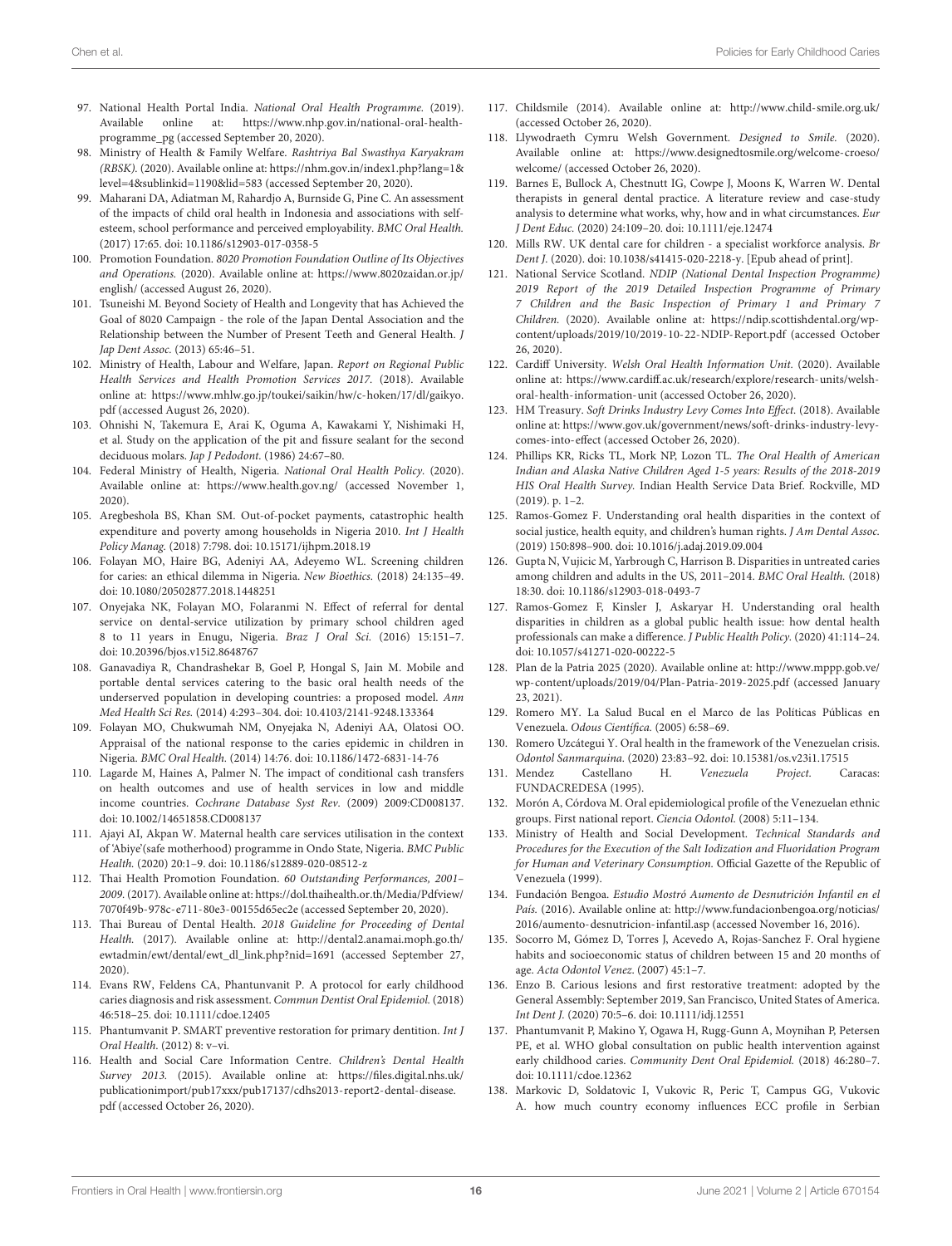- <span id="page-15-0"></span>97. National Health Portal India. National Oral Health Programme. (2019). Available online at: [https://www.nhp.gov.in/national-oral-health](https://www.nhp.gov.in/national-oral-health-programme_pg)[programme\\_pg](https://www.nhp.gov.in/national-oral-health-programme_pg) (accessed September 20, 2020).
- <span id="page-15-1"></span>98. Ministry of Health & Family Welfare. Rashtriya Bal Swasthya Karyakram (RBSK). (2020). Available online at: [https://nhm.gov.in/index1.php?lang=1&](https://nhm.gov.in/index1.php?lang=1&level=4&sublinkid=1190&lid=583) [level=4&sublinkid=1190&lid=583](https://nhm.gov.in/index1.php?lang=1&level=4&sublinkid=1190&lid=583) (accessed September 20, 2020).
- <span id="page-15-2"></span>99. Maharani DA, Adiatman M, Rahardjo A, Burnside G, Pine C. An assessment of the impacts of child oral health in Indonesia and associations with selfesteem, school performance and perceived employability. BMC Oral Health. (2017) 17:65. doi: [10.1186/s12903-017-0358-5](https://doi.org/10.1186/s12903-017-0358-5)
- <span id="page-15-3"></span>100. Promotion Foundation. 8020 Promotion Foundation Outline of Its Objectives and Operations. (2020). Available online at: [https://www.8020zaidan.or.jp/](https://www.8020zaidan.or.jp/english/) [english/](https://www.8020zaidan.or.jp/english/) (accessed August 26, 2020).
- <span id="page-15-4"></span>101. Tsuneishi M. Beyond Society of Health and Longevity that has Achieved the Goal of 8020 Campaign - the role of the Japan Dental Association and the Relationship between the Number of Present Teeth and General Health. J Jap Dent Assoc. (2013) 65:46–51.
- <span id="page-15-5"></span>102. Ministry of Health, Labour and Welfare, Japan. Report on Regional Public Health Services and Health Promotion Services 2017. (2018). Available online at: [https://www.mhlw.go.jp/toukei/saikin/hw/c-hoken/17/dl/gaikyo.](https://www.mhlw.go.jp/toukei/saikin/hw/c-hoken/17/dl/gaikyo.pdf) [pdf](https://www.mhlw.go.jp/toukei/saikin/hw/c-hoken/17/dl/gaikyo.pdf) (accessed August 26, 2020).
- <span id="page-15-6"></span>103. Ohnishi N, Takemura E, Arai K, Oguma A, Kawakami Y, Nishimaki H, et al. Study on the application of the pit and fissure sealant for the second deciduous molars. Jap J Pedodont. (1986) 24:67–80.
- <span id="page-15-7"></span>104. Federal Ministry of Health, Nigeria. National Oral Health Policy. (2020). Available online at:<https://www.health.gov.ng/> (accessed November 1, 2020).
- <span id="page-15-8"></span>105. Aregbeshola BS, Khan SM. Out-of-pocket payments, catastrophic health expenditure and poverty among households in Nigeria 2010. Int J Health Policy Manag. (2018) 7:798. doi: [10.15171/ijhpm.2018.19](https://doi.org/10.15171/ijhpm.2018.19)
- <span id="page-15-9"></span>106. Folayan MO, Haire BG, Adeniyi AA, Adeyemo WL. Screening children for caries: an ethical dilemma in Nigeria. New Bioethics. (2018) 24:135–49. doi: [10.1080/20502877.2018.1448251](https://doi.org/10.1080/20502877.2018.1448251)
- <span id="page-15-10"></span>107. Onyejaka NK, Folayan MO, Folaranmi N. Effect of referral for dental service on dental-service utilization by primary school children aged 8 to 11 years in Enugu, Nigeria. Braz J Oral Sci. (2016) 15:151–7. doi: [10.20396/bjos.v15i2.8648767](https://doi.org/10.20396/bjos.v15i2.8648767)
- <span id="page-15-11"></span>108. Ganavadiya R, Chandrashekar B, Goel P, Hongal S, Jain M. Mobile and portable dental services catering to the basic oral health needs of the underserved population in developing countries: a proposed model. Ann Med Health Sci Res. (2014) 4:293–304. doi: [10.4103/2141-9248.133364](https://doi.org/10.4103/2141-9248.133364)
- <span id="page-15-12"></span>109. Folayan MO, Chukwumah NM, Onyejaka N, Adeniyi AA, Olatosi OO. Appraisal of the national response to the caries epidemic in children in Nigeria. BMC Oral Health. (2014) 14:76. doi: [10.1186/1472-6831-14-76](https://doi.org/10.1186/1472-6831-14-76)
- <span id="page-15-13"></span>110. Lagarde M, Haines A, Palmer N. The impact of conditional cash transfers on health outcomes and use of health services in low and middle income countries. Cochrane Database Syst Rev. (2009) 2009:CD008137. doi: [10.1002/14651858.CD008137](https://doi.org/10.1002/14651858.CD008137)
- <span id="page-15-14"></span>111. Ajayi AI, Akpan W. Maternal health care services utilisation in the context of 'Abiye'(safe motherhood) programme in Ondo State, Nigeria. BMC Public Health. (2020) 20:1–9. doi: [10.1186/s12889-020-08512-z](https://doi.org/10.1186/s12889-020-08512-z)
- <span id="page-15-15"></span>112. Thai Health Promotion Foundation. 60 Outstanding Performances, 2001– 2009. (2017). Available online at: [https://dol.thaihealth.or.th/Media/Pdfview/](https://dol.thaihealth.or.th/Media/Pdfview/7070f49b-978c-e711-80e3-00155d65ec2e) [7070f49b-978c-e711-80e3-00155d65ec2e](https://dol.thaihealth.or.th/Media/Pdfview/7070f49b-978c-e711-80e3-00155d65ec2e) (accessed September 20, 2020).
- <span id="page-15-16"></span>113. Thai Bureau of Dental Health. 2018 Guideline for Proceeding of Dental Health. (2017). Available online at: [http://dental2.anamai.moph.go.th/](http://dental2.anamai.moph.go.th/ewtadmin/ewt/dental/ewt_dl_link.php?nid=1691) [ewtadmin/ewt/dental/ewt\\_dl\\_link.php?nid=1691](http://dental2.anamai.moph.go.th/ewtadmin/ewt/dental/ewt_dl_link.php?nid=1691) (accessed September 27, 2020).
- <span id="page-15-17"></span>114. Evans RW, Feldens CA, Phantunvanit P. A protocol for early childhood caries diagnosis and risk assessment. Commun Dentist Oral Epidemiol. (2018) 46:518–25. doi: [10.1111/cdoe.12405](https://doi.org/10.1111/cdoe.12405)
- <span id="page-15-18"></span>115. Phantumvanit P. SMART preventive restoration for primary dentition. Int J Oral Health. (2012) 8: v–vi.
- <span id="page-15-19"></span>116. Health and Social Care Information Centre. Children's Dental Health Survey 2013. (2015). Available online at: [https://files.digital.nhs.uk/](https://files.digital.nhs.uk/publicationimport/pub17xxx/pub17137/cdhs2013-report2-dental-disease.pdf) [publicationimport/pub17xxx/pub17137/cdhs2013-report2-dental-disease.](https://files.digital.nhs.uk/publicationimport/pub17xxx/pub17137/cdhs2013-report2-dental-disease.pdf) [pdf](https://files.digital.nhs.uk/publicationimport/pub17xxx/pub17137/cdhs2013-report2-dental-disease.pdf) (accessed October 26, 2020).
- <span id="page-15-20"></span>117. Childsmile (2014). Available online at:<http://www.child-smile.org.uk/> (accessed October 26, 2020).
- <span id="page-15-21"></span>118. Llywodraeth Cymru Welsh Government. Designed to Smile. (2020). Available online at: [https://www.designedtosmile.org/welcome-croeso/](https://www.designedtosmile.org/welcome-croeso/welcome/) [welcome/](https://www.designedtosmile.org/welcome-croeso/welcome/) (accessed October 26, 2020).
- <span id="page-15-22"></span>119. Barnes E, Bullock A, Chestnutt IG, Cowpe J, Moons K, Warren W. Dental therapists in general dental practice. A literature review and case-study analysis to determine what works, why, how and in what circumstances. Eur J Dent Educ. (2020) 24:109–20. doi: [10.1111/eje.12474](https://doi.org/10.1111/eje.12474)
- <span id="page-15-23"></span>120. Mills RW. UK dental care for children - a specialist workforce analysis. Br Dent J. (2020). doi: [10.1038/s41415-020-2218-y.](https://doi.org/10.1038/s41415-020-2218-y) [Epub ahead of print].
- <span id="page-15-24"></span>121. National Service Scotland. NDIP (National Dental Inspection Programme) 2019 Report of the 2019 Detailed Inspection Programme of Primary 7 Children and the Basic Inspection of Primary 1 and Primary 7 Children. (2020). Available online at: [https://ndip.scottishdental.org/wp](https://ndip.scottishdental.org/wp-content/uploads/2019/10/2019-10-22-NDIP-Report.pdf)[content/uploads/2019/10/2019-10-22-NDIP-Report.pdf](https://ndip.scottishdental.org/wp-content/uploads/2019/10/2019-10-22-NDIP-Report.pdf) (accessed October 26, 2020).
- <span id="page-15-25"></span>122. Cardiff University. Welsh Oral Health Information Unit. (2020). Available online at: [https://www.cardiff.ac.uk/research/explore/research-units/welsh](https://www.cardiff.ac.uk/research/explore/research-units/welsh-oral-health-information-unit)[oral-health-information-unit](https://www.cardiff.ac.uk/research/explore/research-units/welsh-oral-health-information-unit) (accessed October 26, 2020).
- <span id="page-15-26"></span>123. HM Treasury. Soft Drinks Industry Levy Comes Into Effect. (2018). Available online at: [https://www.gov.uk/government/news/soft-drinks-industry-levy](https://www.gov.uk/government/news/soft-drinks-industry-levy-comes-into-effect)[comes-into-effect](https://www.gov.uk/government/news/soft-drinks-industry-levy-comes-into-effect) (accessed October 26, 2020).
- <span id="page-15-27"></span>124. Phillips KR, Ricks TL, Mork NP, Lozon TL. The Oral Health of American Indian and Alaska Native Children Aged 1-5 years: Results of the 2018-2019 HIS Oral Health Survey. Indian Health Service Data Brief. Rockville, MD (2019). p. 1–2.
- <span id="page-15-28"></span>125. Ramos-Gomez F. Understanding oral health disparities in the context of social justice, health equity, and children's human rights. J Am Dental Assoc. (2019) 150:898–900. doi: [10.1016/j.adaj.2019.09.004](https://doi.org/10.1016/j.adaj.2019.09.004)
- <span id="page-15-29"></span>126. Gupta N, Vujicic M, Yarbrough C, Harrison B. Disparities in untreated caries among children and adults in the US, 2011–2014. BMC Oral Health. (2018) 18:30. doi: [10.1186/s12903-018-0493-7](https://doi.org/10.1186/s12903-018-0493-7)
- <span id="page-15-30"></span>127. Ramos-Gomez F, Kinsler J, Askaryar H. Understanding oral health disparities in children as a global public health issue: how dental health professionals can make a difference. J Public Health Policy. (2020) 41:114–24. doi: [10.1057/s41271-020-00222-5](https://doi.org/10.1057/s41271-020-00222-5)
- <span id="page-15-31"></span>128. Plan de la Patria 2025 (2020). Available online at: [http://www.mppp.gob.ve/](http://www.mppp.gob.ve/wp-content/uploads/2019/04/Plan-Patria-2019-2025.pdf) [wp-content/uploads/2019/04/Plan-Patria-2019-2025.pdf](http://www.mppp.gob.ve/wp-content/uploads/2019/04/Plan-Patria-2019-2025.pdf) (accessed January 23, 2021).
- <span id="page-15-32"></span>129. Romero MY. La Salud Bucal en el Marco de las Políticas Públicas en Venezuela. Odous Científica. (2005) 6:58–69.
- <span id="page-15-33"></span>130. Romero Uzcátegui Y. Oral health in the framework of the Venezuelan crisis. Odontol Sanmarquina. (2020) 23:83–92. doi: [10.15381/os.v23i1.17515](https://doi.org/10.15381/os.v23i1.17515)
- <span id="page-15-34"></span>131. Mendez Castellano H. Venezuela Project. Caracas: FUNDACREDESA (1995).
- <span id="page-15-35"></span>132. Morón A, Córdova M. Oral epidemiological profile of the Venezuelan ethnic groups. First national report. Ciencia Odontol. (2008) 5:11–134.
- <span id="page-15-36"></span>133. Ministry of Health and Social Development. Technical Standards and Procedures for the Execution of the Salt Iodization and Fluoridation Program for Human and Veterinary Consumption. Official Gazette of the Republic of Venezuela (1999).
- <span id="page-15-37"></span>134. Fundación Bengoa. Estudio Mostró Aumento de Desnutrición Infantil en el País. (2016). Available online at: [http://www.fundacionbengoa.org/noticias/](http://www.fundacionbengoa.org/noticias/2016/aumento-desnutricion-infantil.asp) [2016/aumento-desnutricion-infantil.asp](http://www.fundacionbengoa.org/noticias/2016/aumento-desnutricion-infantil.asp) (accessed November 16, 2016).
- <span id="page-15-38"></span>135. Socorro M, Gómez D, Torres J, Acevedo A, Rojas-Sanchez F. Oral hygiene habits and socioeconomic status of children between 15 and 20 months of age. Acta Odontol Venez. (2007) 45:1–7.
- <span id="page-15-39"></span>136. Enzo B. Carious lesions and first restorative treatment: adopted by the General Assembly: September 2019, San Francisco, United States of America. Int Dent J. (2020) 70:5–6. doi: [10.1111/idj.12551](https://doi.org/10.1111/idj.12551)
- <span id="page-15-40"></span>137. Phantumvanit P, Makino Y, Ogawa H, Rugg-Gunn A, Moynihan P, Petersen PE, et al. WHO global consultation on public health intervention against early childhood caries. Community Dent Oral Epidemiol. (2018) 46:280–7. doi: [10.1111/cdoe.12362](https://doi.org/10.1111/cdoe.12362)
- <span id="page-15-41"></span>138. Markovic D, Soldatovic I, Vukovic R, Peric T, Campus GG, Vukovic A. how much country economy influences ECC profile in Serbian